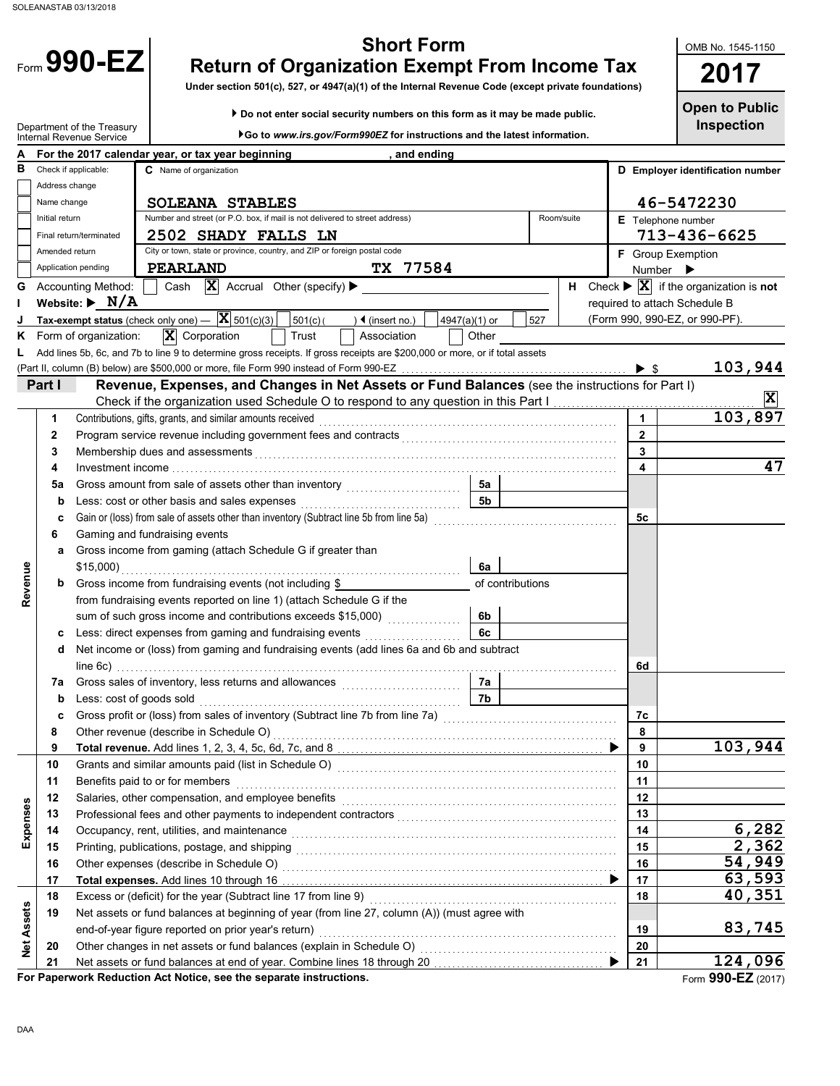Form 990-EZ

| <b>Short Form</b> |  |
|-------------------|--|
|                   |  |

**Return of Organization Exempt From Income Tax 2017 1990-EZ** Return of Organization Exempt From Income Tax 2017

**Under section 501(c), 527, or 4947(a)(1) of the Internal Revenue Code (except private foundations)**

 **Do not enter social security numbers on this form as it may be made public.**

**Open to Public**

**Inspection**

OMB No. 1545-1150

|                   |                | Department of the Treasury<br>Internal Revenue Service       |          |                          |                                                                             |                                                                                         | ▶Go to www.irs.gov/Form990EZ for instructions and the latest information.                                                                                                              |     |            |  |                              | <b>Inspection</b>                                                            |
|-------------------|----------------|--------------------------------------------------------------|----------|--------------------------|-----------------------------------------------------------------------------|-----------------------------------------------------------------------------------------|----------------------------------------------------------------------------------------------------------------------------------------------------------------------------------------|-----|------------|--|------------------------------|------------------------------------------------------------------------------|
|                   |                | For the 2017 calendar year, or tax year beginning            |          |                          |                                                                             | , and ending                                                                            |                                                                                                                                                                                        |     |            |  |                              |                                                                              |
| в                 |                | Check if applicable:                                         |          | C Name of organization   |                                                                             |                                                                                         |                                                                                                                                                                                        |     |            |  |                              | D Employer identification number                                             |
|                   | Address change |                                                              |          |                          |                                                                             |                                                                                         |                                                                                                                                                                                        |     |            |  |                              |                                                                              |
|                   | Name change    |                                                              |          | <b>SOLEANA STABLES</b>   |                                                                             |                                                                                         |                                                                                                                                                                                        |     |            |  |                              | 46-5472230                                                                   |
|                   | Initial return |                                                              |          |                          | Number and street (or P.O. box, if mail is not delivered to street address) |                                                                                         |                                                                                                                                                                                        |     | Room/suite |  |                              | E Telephone number                                                           |
|                   |                | Final return/terminated                                      |          |                          | <b>2502 SHADY FALLS LN</b>                                                  |                                                                                         |                                                                                                                                                                                        |     |            |  |                              | 713-436-6625                                                                 |
|                   | Amended return |                                                              |          |                          | City or town, state or province, country, and ZIP or foreign postal code    |                                                                                         |                                                                                                                                                                                        |     |            |  |                              | <b>F</b> Group Exemption                                                     |
|                   |                | Application pending                                          | PEARLAND |                          |                                                                             | TX 77584                                                                                |                                                                                                                                                                                        |     |            |  | Number $\blacktriangleright$ |                                                                              |
| G                 |                | <b>Accounting Method:</b>                                    | Cash     |                          | $ \mathbf{X} $ Accrual Other (specify) $\blacktriangleright$                |                                                                                         |                                                                                                                                                                                        |     | н.         |  |                              | Check $\blacktriangleright \overline{\mathbf{X}}$ if the organization is not |
| п                 |                | Website: $\blacktriangleright$ N/A                           |          |                          |                                                                             |                                                                                         |                                                                                                                                                                                        |     |            |  |                              | required to attach Schedule B                                                |
|                   |                | Tax-exempt status (check only one) $ \overline{X}$ 501(c)(3) |          |                          | 501(c)                                                                      | $\sqrt{4}$ (insert no.)                                                                 | 4947(a)(1) or                                                                                                                                                                          | 527 |            |  |                              | (Form 990, 990-EZ, or 990-PF).                                               |
| ĸ                 |                | Form of organization:                                        |          | $\mathbf{X}$ Corporation | Trust                                                                       | Association                                                                             | Other                                                                                                                                                                                  |     |            |  |                              |                                                                              |
|                   |                |                                                              |          |                          |                                                                             |                                                                                         | Add lines 5b, 6c, and 7b to line 9 to determine gross receipts. If gross receipts are \$200,000 or more, or if total assets                                                            |     |            |  |                              |                                                                              |
|                   |                |                                                              |          |                          |                                                                             |                                                                                         |                                                                                                                                                                                        |     |            |  |                              | 103,944                                                                      |
|                   | Part I         |                                                              |          |                          |                                                                             |                                                                                         | Revenue, Expenses, and Changes in Net Assets or Fund Balances (see the instructions for Part I)                                                                                        |     |            |  |                              |                                                                              |
|                   |                |                                                              |          |                          |                                                                             |                                                                                         |                                                                                                                                                                                        |     |            |  |                              | X                                                                            |
|                   | 1              |                                                              |          |                          | Contributions, gifts, grants, and similar amounts received                  |                                                                                         |                                                                                                                                                                                        |     |            |  | $\mathbf{1}$                 | 103,897                                                                      |
|                   | $\mathbf{2}$   |                                                              |          |                          |                                                                             |                                                                                         |                                                                                                                                                                                        |     |            |  | $\mathbf{2}$                 |                                                                              |
|                   | 3              |                                                              |          |                          |                                                                             |                                                                                         |                                                                                                                                                                                        |     |            |  | 3                            |                                                                              |
|                   | 4              |                                                              |          |                          |                                                                             |                                                                                         |                                                                                                                                                                                        |     |            |  | 4                            | 47                                                                           |
|                   | 5a             |                                                              |          |                          |                                                                             |                                                                                         | 5а                                                                                                                                                                                     |     |            |  |                              |                                                                              |
|                   | b              | Less: cost or other basis and sales expenses                 |          |                          |                                                                             |                                                                                         | 5b                                                                                                                                                                                     |     |            |  |                              |                                                                              |
|                   | c              |                                                              |          |                          |                                                                             | Gain or (loss) from sale of assets other than inventory (Subtract line 5b from line 5a) |                                                                                                                                                                                        |     |            |  | 5с                           |                                                                              |
|                   | 6<br>а         | Gaming and fundraising events                                |          |                          | Gross income from gaming (attach Schedule G if greater than                 |                                                                                         |                                                                                                                                                                                        |     |            |  |                              |                                                                              |
|                   |                | $$15,000$ )                                                  |          |                          |                                                                             |                                                                                         | 6a                                                                                                                                                                                     |     |            |  |                              |                                                                              |
| Revenue           | b              |                                                              |          |                          | Gross income from fundraising events (not including \$                      |                                                                                         | of contributions                                                                                                                                                                       |     |            |  |                              |                                                                              |
|                   |                |                                                              |          |                          | from fundraising events reported on line 1) (attach Schedule G if the       |                                                                                         |                                                                                                                                                                                        |     |            |  |                              |                                                                              |
|                   |                |                                                              |          |                          |                                                                             | sum of such gross income and contributions exceeds \$15,000)                            | 6b                                                                                                                                                                                     |     |            |  |                              |                                                                              |
|                   | c              |                                                              |          |                          | Less: direct expenses from gaming and fundraising events                    |                                                                                         | 6c                                                                                                                                                                                     |     |            |  |                              |                                                                              |
|                   | d              |                                                              |          |                          |                                                                             |                                                                                         | Net income or (loss) from gaming and fundraising events (add lines 6a and 6b and subtract                                                                                              |     |            |  |                              |                                                                              |
|                   |                |                                                              |          |                          |                                                                             |                                                                                         |                                                                                                                                                                                        |     |            |  | 6d                           |                                                                              |
|                   | 7a             |                                                              |          |                          |                                                                             |                                                                                         | 7а                                                                                                                                                                                     |     |            |  |                              |                                                                              |
|                   | b              | Less: cost of goods sold                                     |          |                          |                                                                             |                                                                                         | 7b                                                                                                                                                                                     |     |            |  |                              |                                                                              |
|                   | c              |                                                              |          |                          |                                                                             |                                                                                         | Gross profit or (loss) from sales of inventory (Subtract line 7b from line 7a) [11] [11] Cross profit or (loss)                                                                        |     |            |  | 7c                           |                                                                              |
|                   | 8              | Other revenue (describe in Schedule O)                       |          |                          |                                                                             |                                                                                         |                                                                                                                                                                                        |     |            |  | 8                            |                                                                              |
|                   | 9              |                                                              |          |                          |                                                                             |                                                                                         |                                                                                                                                                                                        |     |            |  | 9                            | 103,944                                                                      |
|                   | 10             |                                                              |          |                          |                                                                             |                                                                                         |                                                                                                                                                                                        |     |            |  | 10                           |                                                                              |
|                   | 11             | Benefits paid to or for members                              |          |                          |                                                                             |                                                                                         |                                                                                                                                                                                        |     |            |  | 11                           |                                                                              |
|                   | 12             |                                                              |          |                          | Salaries, other compensation, and employee benefits                         |                                                                                         |                                                                                                                                                                                        |     |            |  | 12                           |                                                                              |
|                   | 13             |                                                              |          |                          |                                                                             |                                                                                         | Professional fees and other payments to independent contractors<br>[[[[CODID][[CODID][[CODID][[CODID][[CODID][[CODID][[CODID][[CODID][[CODID][[CODID][[CODID][[CODID][[CODID][[CODID]] |     |            |  | 13                           |                                                                              |
| Expenses          | 14             | Occupancy, rent, utilities, and maintenance                  |          |                          |                                                                             |                                                                                         |                                                                                                                                                                                        | 14  | 6,282      |  |                              |                                                                              |
|                   | 15             |                                                              |          |                          |                                                                             |                                                                                         |                                                                                                                                                                                        |     |            |  | 15                           | 2,362                                                                        |
|                   | 16             | Other expenses (describe in Schedule O)                      |          |                          |                                                                             |                                                                                         |                                                                                                                                                                                        |     |            |  | 16                           | 54,949                                                                       |
|                   | 17             |                                                              |          |                          |                                                                             |                                                                                         |                                                                                                                                                                                        |     |            |  | 17                           | 63,593                                                                       |
|                   | 18             |                                                              |          |                          | Excess or (deficit) for the year (Subtract line 17 from line 9)             |                                                                                         |                                                                                                                                                                                        |     |            |  | 18                           | 40,351                                                                       |
| <b>Net Assets</b> | 19             |                                                              |          |                          |                                                                             |                                                                                         | Net assets or fund balances at beginning of year (from line 27, column (A)) (must agree with                                                                                           |     |            |  |                              |                                                                              |
|                   |                |                                                              |          |                          | end-of-year figure reported on prior year's return)                         |                                                                                         |                                                                                                                                                                                        |     |            |  | 19                           | 83,745                                                                       |
|                   | 20             |                                                              |          |                          |                                                                             |                                                                                         |                                                                                                                                                                                        |     |            |  | 20<br>21                     | 124,096                                                                      |
|                   | 21             |                                                              |          |                          |                                                                             |                                                                                         |                                                                                                                                                                                        |     |            |  |                              |                                                                              |

Form **990-EZ** (2017)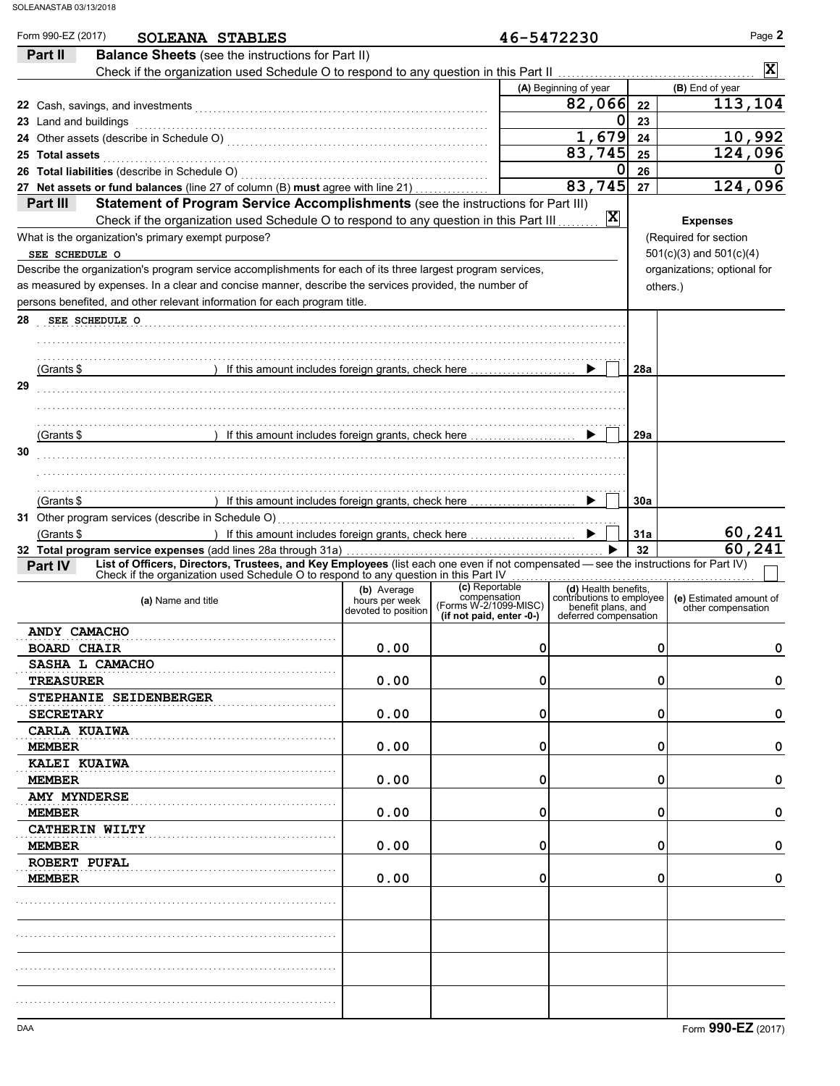| Part II                       | SOLEANA STABLES<br><b>Balance Sheets</b> (see the instructions for Part II)                                                                                                                          |                               |                                                   |   | 46-5472230                                        |           |                                                                                     |
|-------------------------------|------------------------------------------------------------------------------------------------------------------------------------------------------------------------------------------------------|-------------------------------|---------------------------------------------------|---|---------------------------------------------------|-----------|-------------------------------------------------------------------------------------|
|                               |                                                                                                                                                                                                      |                               |                                                   |   |                                                   |           | $\vert \mathbf{x} \vert$                                                            |
|                               |                                                                                                                                                                                                      |                               |                                                   |   | (A) Beginning of year                             |           | (B) End of year                                                                     |
|                               |                                                                                                                                                                                                      |                               |                                                   |   | 82,066                                            | 22        | 113,104                                                                             |
| 23 Land and buildings         |                                                                                                                                                                                                      |                               |                                                   |   | $\mathbf 0$                                       | 23        |                                                                                     |
|                               |                                                                                                                                                                                                      |                               |                                                   |   | 1,679                                             | 24        | 10,992                                                                              |
| <b>Total assets</b>           |                                                                                                                                                                                                      |                               |                                                   |   | 83,745<br>$\mathbf 0$                             | 25        | 124,096                                                                             |
|                               |                                                                                                                                                                                                      |                               |                                                   |   | 83,745                                            | 26<br>27  | 0<br>124,096                                                                        |
| Part III                      | 27 Net assets or fund balances (line 27 of column (B) must agree with line 21)<br>Statement of Program Service Accomplishments (see the instructions for Part III)                                   |                               |                                                   |   |                                                   |           |                                                                                     |
|                               | Check if the organization used Schedule O to respond to any question in this Part III                                                                                                                |                               |                                                   |   | $ \mathbf{X} $                                    |           | <b>Expenses</b>                                                                     |
|                               | What is the organization's primary exempt purpose?                                                                                                                                                   |                               |                                                   |   |                                                   |           | (Required for section                                                               |
| SEE SCHEDULE O                |                                                                                                                                                                                                      |                               |                                                   |   |                                                   |           | $501(c)(3)$ and $501(c)(4)$                                                         |
|                               | Describe the organization's program service accomplishments for each of its three largest program services,                                                                                          |                               |                                                   |   |                                                   |           | organizations; optional for                                                         |
|                               | as measured by expenses. In a clear and concise manner, describe the services provided, the number of                                                                                                |                               |                                                   |   |                                                   |           | others.)                                                                            |
|                               | persons benefited, and other relevant information for each program title.                                                                                                                            |                               |                                                   |   |                                                   |           |                                                                                     |
| SEE SCHEDULE O                |                                                                                                                                                                                                      |                               |                                                   |   |                                                   |           |                                                                                     |
|                               |                                                                                                                                                                                                      |                               |                                                   |   |                                                   |           |                                                                                     |
|                               |                                                                                                                                                                                                      |                               |                                                   |   |                                                   |           |                                                                                     |
| (Grants \$                    | ) If this amount includes foreign grants, check here                                                                                                                                                 |                               |                                                   |   |                                                   | 28a       |                                                                                     |
|                               |                                                                                                                                                                                                      |                               |                                                   |   |                                                   |           |                                                                                     |
|                               |                                                                                                                                                                                                      |                               |                                                   |   |                                                   |           |                                                                                     |
| (Grants \$                    | ) If this amount includes foreign grants, check here                                                                                                                                                 |                               |                                                   |   |                                                   | 29a       |                                                                                     |
|                               |                                                                                                                                                                                                      |                               |                                                   |   |                                                   |           |                                                                                     |
| (Grants \$                    |                                                                                                                                                                                                      |                               |                                                   |   |                                                   |           |                                                                                     |
|                               | ) If this amount includes foreign grants, check here                                                                                                                                                 |                               |                                                   |   | ▶                                                 | 30a       |                                                                                     |
| (Grants \$                    | ) If this amount includes foreign grants, check here                                                                                                                                                 |                               |                                                   |   | ▶                                                 | 31a<br>32 |                                                                                     |
| Part IV                       | 32 Total program service expenses (add lines 28a through 31a)<br>List of Officers, Directors, Trustees, and Key Employees (list each one even if not compensated - see the instructions for Part IV) |                               |                                                   |   |                                                   |           |                                                                                     |
|                               | Check if the organization used Schedule O to respond to any question in this Part IV                                                                                                                 |                               |                                                   | . |                                                   |           |                                                                                     |
|                               | (a) Name and title                                                                                                                                                                                   | (b) Average<br>hours per week | (c) Reportable<br>compensation                    |   | (d) Health benefits,<br>contributions to employee |           |                                                                                     |
|                               |                                                                                                                                                                                                      | devoted to position           | (Forms W-2/1099-MISC)<br>(if not paid, enter -0-) |   | benefit plans, and<br>deferred compensation       |           | other compensation                                                                  |
| ANDY CAMACHO                  |                                                                                                                                                                                                      |                               |                                                   |   |                                                   |           |                                                                                     |
| <b>BOARD CHAIR</b>            |                                                                                                                                                                                                      | 0.00                          |                                                   | 0 |                                                   |           | 0                                                                                   |
| SASHA L CAMACHO               |                                                                                                                                                                                                      |                               |                                                   |   |                                                   |           |                                                                                     |
| <b>TREASURER</b>              |                                                                                                                                                                                                      | 0.00                          |                                                   | 0 |                                                   |           | 0                                                                                   |
| STEPHANIE SEIDENBERGER        |                                                                                                                                                                                                      |                               |                                                   |   |                                                   |           |                                                                                     |
| <b>SECRETARY</b>              |                                                                                                                                                                                                      | 0.00                          |                                                   | 0 |                                                   |           | 0                                                                                   |
| CARLA KUAIWA<br><b>MEMBER</b> |                                                                                                                                                                                                      | 0.00                          |                                                   | 0 |                                                   |           | 0                                                                                   |
| KALEI KUAIWA                  |                                                                                                                                                                                                      |                               |                                                   |   |                                                   |           |                                                                                     |
| <b>MEMBER</b>                 |                                                                                                                                                                                                      | 0.00                          |                                                   | 0 |                                                   |           | 0                                                                                   |
| <b>AMY MYNDERSE</b>           |                                                                                                                                                                                                      |                               |                                                   |   |                                                   |           |                                                                                     |
| <b>MEMBER</b>                 |                                                                                                                                                                                                      | 0.00                          |                                                   | 0 |                                                   |           | 0                                                                                   |
| <b>CATHERIN WILTY</b>         |                                                                                                                                                                                                      |                               |                                                   |   |                                                   |           |                                                                                     |
| <b>MEMBER</b>                 |                                                                                                                                                                                                      | 0.00                          |                                                   | 0 |                                                   |           | 0                                                                                   |
| ROBERT PUFAL                  |                                                                                                                                                                                                      |                               |                                                   |   |                                                   |           |                                                                                     |
| MEMBER                        |                                                                                                                                                                                                      | 0.00                          |                                                   | 0 |                                                   |           | 0                                                                                   |
|                               |                                                                                                                                                                                                      |                               |                                                   |   |                                                   |           |                                                                                     |
|                               |                                                                                                                                                                                                      |                               |                                                   |   |                                                   |           |                                                                                     |
|                               |                                                                                                                                                                                                      |                               |                                                   |   |                                                   |           | 60,241<br>60,241<br>(e) Estimated amount of<br>0<br>0<br>0<br>0<br>0<br>0<br>0<br>0 |
|                               |                                                                                                                                                                                                      |                               |                                                   |   |                                                   |           |                                                                                     |
|                               |                                                                                                                                                                                                      |                               |                                                   |   |                                                   |           |                                                                                     |
|                               |                                                                                                                                                                                                      |                               |                                                   |   |                                                   |           |                                                                                     |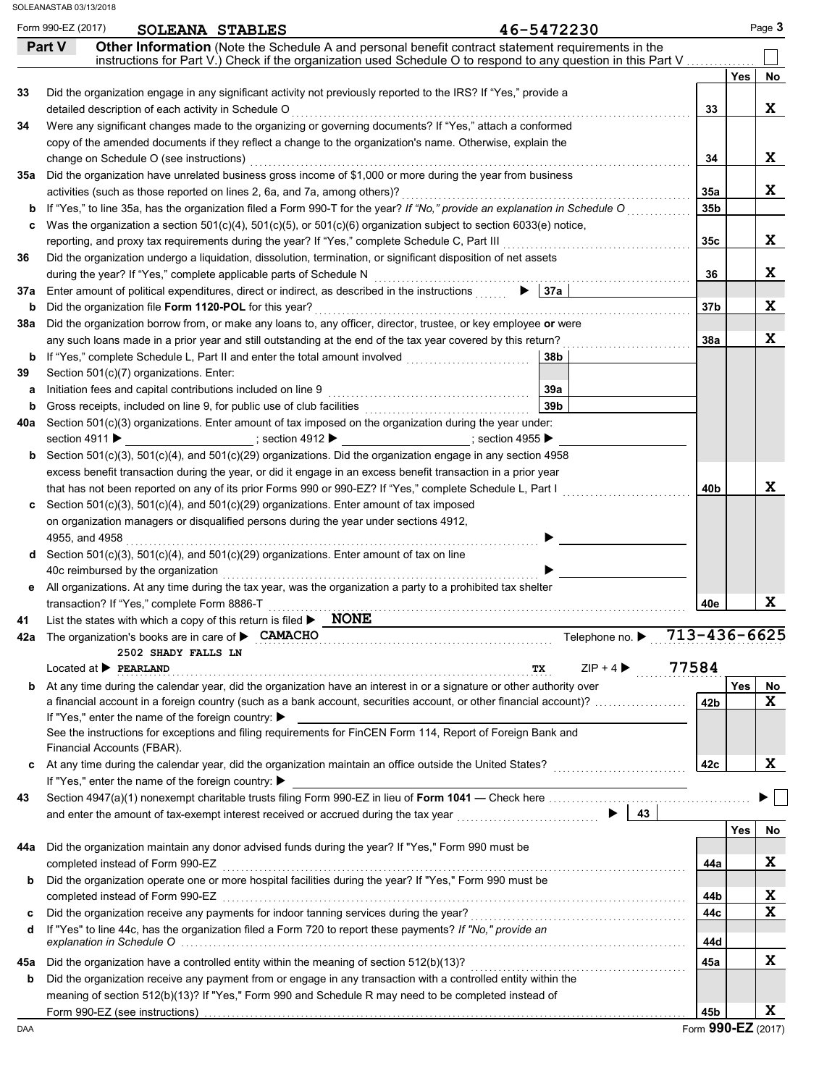|     | Form 990-EZ (2017)<br>46-5472230<br>SOLEANA STABLES<br>Other Information (Note the Schedule A and personal benefit contract statement requirements in the<br>Part V                                                                                                                                                                        |                 |     | Page 3                |
|-----|--------------------------------------------------------------------------------------------------------------------------------------------------------------------------------------------------------------------------------------------------------------------------------------------------------------------------------------------|-----------------|-----|-----------------------|
|     | instructions for Part V.) Check if the organization used Schedule O to respond to any question in this Part V                                                                                                                                                                                                                              |                 |     |                       |
|     |                                                                                                                                                                                                                                                                                                                                            |                 | Yes | No                    |
| 33  | Did the organization engage in any significant activity not previously reported to the IRS? If "Yes," provide a                                                                                                                                                                                                                            |                 |     |                       |
|     | detailed description of each activity in Schedule O                                                                                                                                                                                                                                                                                        | 33              |     | X                     |
| 34  | Were any significant changes made to the organizing or governing documents? If "Yes," attach a conformed                                                                                                                                                                                                                                   |                 |     |                       |
|     | copy of the amended documents if they reflect a change to the organization's name. Otherwise, explain the                                                                                                                                                                                                                                  |                 |     |                       |
|     | change on Schedule O (see instructions)                                                                                                                                                                                                                                                                                                    | 34              |     | X                     |
| 35а | Did the organization have unrelated business gross income of \$1,000 or more during the year from business                                                                                                                                                                                                                                 |                 |     |                       |
|     | activities (such as those reported on lines 2, 6a, and 7a, among others)?                                                                                                                                                                                                                                                                  | 35a             |     | X                     |
| b   | If "Yes," to line 35a, has the organization filed a Form 990-T for the year? If "No," provide an explanation in Schedule O                                                                                                                                                                                                                 | 35 <sub>b</sub> |     |                       |
| c   | Was the organization a section $501(c)(4)$ , $501(c)(5)$ , or $501(c)(6)$ organization subject to section 6033(e) notice,                                                                                                                                                                                                                  |                 |     |                       |
|     | reporting, and proxy tax requirements during the year? If "Yes," complete Schedule C, Part III                                                                                                                                                                                                                                             | 35c             |     | X                     |
| 36  | Did the organization undergo a liquidation, dissolution, termination, or significant disposition of net assets                                                                                                                                                                                                                             |                 |     |                       |
|     | during the year? If "Yes," complete applicable parts of Schedule N                                                                                                                                                                                                                                                                         | 36              |     | X                     |
| 37a | $\blacktriangleright$ 37a<br>Enter amount of political expenditures, direct or indirect, as described in the instructions                                                                                                                                                                                                                  |                 |     |                       |
| b   | Did the organization file Form 1120-POL for this year?                                                                                                                                                                                                                                                                                     | 37b             |     | X                     |
| 38a | Did the organization borrow from, or make any loans to, any officer, director, trustee, or key employee or were                                                                                                                                                                                                                            |                 |     |                       |
|     | any such loans made in a prior year and still outstanding at the end of the tax year covered by this return?                                                                                                                                                                                                                               | 38a             |     | X                     |
| b   | If "Yes," complete Schedule L, Part II and enter the total amount involved<br>38b                                                                                                                                                                                                                                                          |                 |     |                       |
| 39  | Section 501(c)(7) organizations. Enter:                                                                                                                                                                                                                                                                                                    |                 |     |                       |
| а   | 39a<br>Initiation fees and capital contributions included on line 9                                                                                                                                                                                                                                                                        |                 |     |                       |
| b   | 39 <sub>b</sub><br>Gross receipts, included on line 9, for public use of club facilities                                                                                                                                                                                                                                                   |                 |     |                       |
| 40a | Section 501(c)(3) organizations. Enter amount of tax imposed on the organization during the year under:                                                                                                                                                                                                                                    |                 |     |                       |
|     | section 4911 ▶<br>________________________; section 4955 ▶                                                                                                                                                                                                                                                                                 |                 |     |                       |
| b   | Section 501(c)(3), 501(c)(4), and 501(c)(29) organizations. Did the organization engage in any section 4958                                                                                                                                                                                                                                |                 |     |                       |
|     | excess benefit transaction during the year, or did it engage in an excess benefit transaction in a prior year                                                                                                                                                                                                                              |                 |     | X                     |
|     | that has not been reported on any of its prior Forms 990 or 990-EZ? If "Yes," complete Schedule L, Part I                                                                                                                                                                                                                                  | 40b             |     |                       |
| c   | Section 501(c)(3), 501(c)(4), and 501(c)(29) organizations. Enter amount of tax imposed                                                                                                                                                                                                                                                    |                 |     |                       |
|     | on organization managers or disqualified persons during the year under sections 4912,                                                                                                                                                                                                                                                      |                 |     |                       |
|     | 4955, and 4958                                                                                                                                                                                                                                                                                                                             |                 |     |                       |
|     | d Section 501(c)(3), 501(c)(4), and 501(c)(29) organizations. Enter amount of tax on line                                                                                                                                                                                                                                                  |                 |     |                       |
|     | 40c reimbursed by the organization                                                                                                                                                                                                                                                                                                         |                 |     |                       |
| е   | All organizations. At any time during the tax year, was the organization a party to a prohibited tax shelter                                                                                                                                                                                                                               |                 |     | $\mathbf x$           |
|     | transaction? If "Yes," complete Form 8886-T<br><b>NONE</b>                                                                                                                                                                                                                                                                                 | 40e             |     |                       |
| 41  | List the states with which a copy of this return is filed $\blacktriangleright$                                                                                                                                                                                                                                                            | 713-436-6625    |     |                       |
|     | 42a The organization's books are in care of CAMACHO<br>Telephone no. ▶<br>2502 SHADY FALLS LN                                                                                                                                                                                                                                              |                 |     |                       |
|     | $ZIP + 4$<br>Located at <b>PERLAND</b><br>TX                                                                                                                                                                                                                                                                                               | 77584           |     |                       |
| b   | At any time during the calendar year, did the organization have an interest in or a signature or other authority over                                                                                                                                                                                                                      |                 | Yes | No                    |
|     | a financial account in a foreign country (such as a bank account, securities account, or other financial account)?                                                                                                                                                                                                                         | 42b             |     | X                     |
|     | If "Yes," enter the name of the foreign country: ▶                                                                                                                                                                                                                                                                                         |                 |     |                       |
|     | See the instructions for exceptions and filing requirements for FinCEN Form 114, Report of Foreign Bank and                                                                                                                                                                                                                                |                 |     |                       |
|     | Financial Accounts (FBAR).                                                                                                                                                                                                                                                                                                                 |                 |     |                       |
| c   |                                                                                                                                                                                                                                                                                                                                            | 42c             |     | X                     |
|     | If "Yes," enter the name of the foreign country: ▶                                                                                                                                                                                                                                                                                         |                 |     |                       |
| 43  |                                                                                                                                                                                                                                                                                                                                            |                 |     |                       |
|     | $\blacktriangleright$<br>43                                                                                                                                                                                                                                                                                                                |                 |     |                       |
|     |                                                                                                                                                                                                                                                                                                                                            |                 |     |                       |
|     |                                                                                                                                                                                                                                                                                                                                            |                 |     |                       |
|     |                                                                                                                                                                                                                                                                                                                                            |                 | Yes |                       |
|     | Did the organization maintain any donor advised funds during the year? If "Yes," Form 990 must be                                                                                                                                                                                                                                          |                 |     |                       |
|     | completed instead of Form 990-EZ                                                                                                                                                                                                                                                                                                           | 44a             |     |                       |
| b   | Did the organization operate one or more hospital facilities during the year? If "Yes," Form 990 must be                                                                                                                                                                                                                                   |                 |     |                       |
|     |                                                                                                                                                                                                                                                                                                                                            | 44b             |     |                       |
| c   |                                                                                                                                                                                                                                                                                                                                            | 44c             |     |                       |
| d   | If "Yes" to line 44c, has the organization filed a Form 720 to report these payments? If "No," provide an<br>explanation in Schedule O with an account of the control of the control of the control of the control of the control of the control of the control of the control of the control of the control of the control of the control | 44d             |     | X<br>X<br>$\mathbf x$ |
| 44a |                                                                                                                                                                                                                                                                                                                                            |                 |     | No                    |
| 45а | Did the organization have a controlled entity within the meaning of section $512(b)(13)$ ?                                                                                                                                                                                                                                                 | 45а             |     | X                     |
| b   | Did the organization receive any payment from or engage in any transaction with a controlled entity within the<br>meaning of section 512(b)(13)? If "Yes," Form 990 and Schedule R may need to be completed instead of                                                                                                                     |                 |     |                       |

Form **990-EZ** (2017)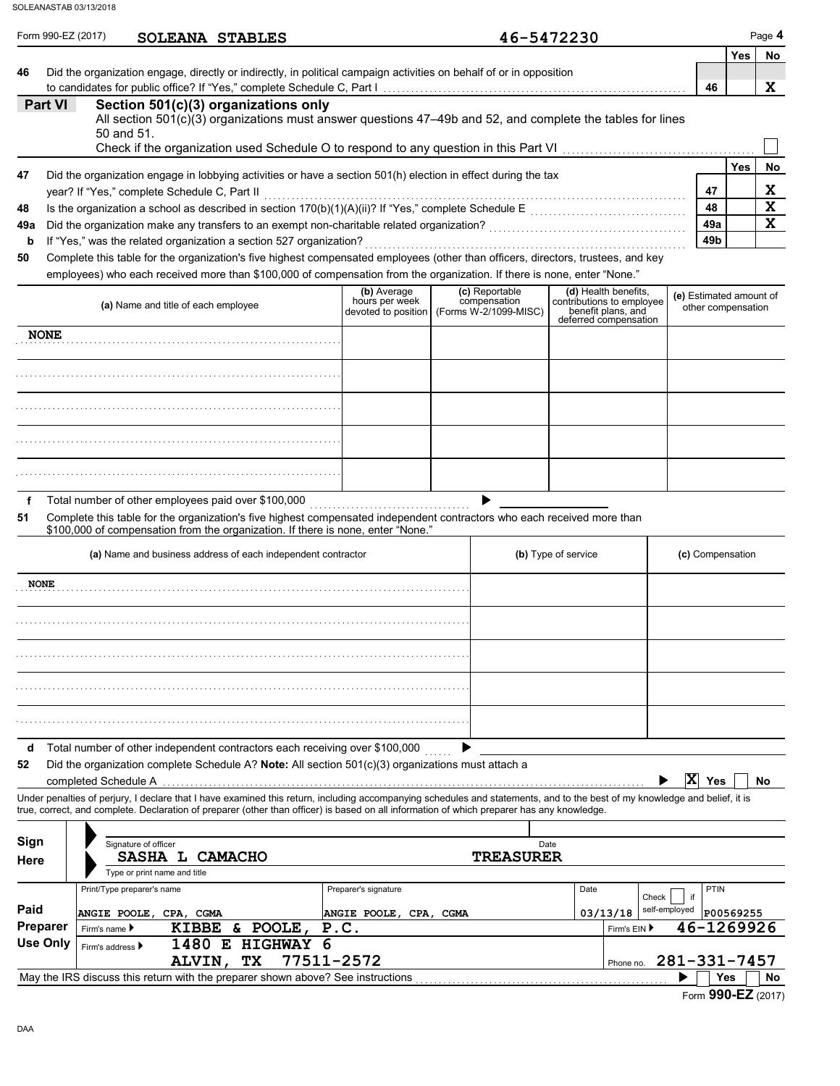|                  | Form 990-EZ (2017)<br>SOLEANA STABLES                                                                                                                                                                                                                                                                                    |                        |                                                           | 46-5472230                                                               |                                               |            | Page 4      |
|------------------|--------------------------------------------------------------------------------------------------------------------------------------------------------------------------------------------------------------------------------------------------------------------------------------------------------------------------|------------------------|-----------------------------------------------------------|--------------------------------------------------------------------------|-----------------------------------------------|------------|-------------|
|                  |                                                                                                                                                                                                                                                                                                                          |                        |                                                           |                                                                          |                                               | <b>Yes</b> | No          |
| 46               | Did the organization engage, directly or indirectly, in political campaign activities on behalf of or in opposition                                                                                                                                                                                                      |                        |                                                           |                                                                          | 46                                            |            | X           |
| Part VI          | Section 501(c)(3) organizations only                                                                                                                                                                                                                                                                                     |                        |                                                           |                                                                          |                                               |            |             |
|                  | All section $501(c)(3)$ organizations must answer questions $47-49b$ and 52, and complete the tables for lines                                                                                                                                                                                                           |                        |                                                           |                                                                          |                                               |            |             |
|                  | 50 and 51.                                                                                                                                                                                                                                                                                                               |                        |                                                           |                                                                          |                                               |            |             |
|                  |                                                                                                                                                                                                                                                                                                                          |                        |                                                           |                                                                          |                                               | <b>Yes</b> | No          |
| 47               | Did the organization engage in lobbying activities or have a section 501(h) election in effect during the tax<br>year? If "Yes," complete Schedule C, Part II                                                                                                                                                            |                        |                                                           |                                                                          | 47                                            |            | X           |
| 48               |                                                                                                                                                                                                                                                                                                                          |                        |                                                           |                                                                          | 48                                            |            | $\mathbf x$ |
| 49a              |                                                                                                                                                                                                                                                                                                                          |                        |                                                           |                                                                          | 49a                                           |            | $\mathbf x$ |
| b                | If "Yes," was the related organization a section 527 organization?                                                                                                                                                                                                                                                       |                        |                                                           |                                                                          | 49 <sub>b</sub>                               |            |             |
| 50               | Complete this table for the organization's five highest compensated employees (other than officers, directors, trustees, and key<br>employees) who each received more than \$100,000 of compensation from the organization. If there is none, enter "None."                                                              |                        |                                                           |                                                                          |                                               |            |             |
|                  |                                                                                                                                                                                                                                                                                                                          | (b) Average            | (c) Reportable                                            | (d) Health benefits,                                                     |                                               |            |             |
|                  | (a) Name and title of each employee                                                                                                                                                                                                                                                                                      | hours per week         | compensation<br>devoted to position (Forms W-2/1099-MISC) | contributions to employee<br>benefit plans, and<br>deferred compensation | (e) Estimated amount of<br>other compensation |            |             |
| <b>NONE</b>      |                                                                                                                                                                                                                                                                                                                          |                        |                                                           |                                                                          |                                               |            |             |
|                  |                                                                                                                                                                                                                                                                                                                          |                        |                                                           |                                                                          |                                               |            |             |
|                  |                                                                                                                                                                                                                                                                                                                          |                        |                                                           |                                                                          |                                               |            |             |
|                  |                                                                                                                                                                                                                                                                                                                          |                        |                                                           |                                                                          |                                               |            |             |
|                  |                                                                                                                                                                                                                                                                                                                          |                        |                                                           |                                                                          |                                               |            |             |
| f<br>51          | Total number of other employees paid over \$100,000<br>Complete this table for the organization's five highest compensated independent contractors who each received more than<br>\$100,000 of compensation from the organization. If there is none, enter "None."                                                       |                        |                                                           |                                                                          |                                               |            |             |
|                  |                                                                                                                                                                                                                                                                                                                          |                        |                                                           |                                                                          |                                               |            |             |
|                  | (a) Name and business address of each independent contractor                                                                                                                                                                                                                                                             |                        |                                                           | (b) Type of service                                                      | (c) Compensation                              |            |             |
| <b>NONE</b>      |                                                                                                                                                                                                                                                                                                                          |                        |                                                           |                                                                          |                                               |            |             |
|                  |                                                                                                                                                                                                                                                                                                                          |                        |                                                           |                                                                          |                                               |            |             |
|                  |                                                                                                                                                                                                                                                                                                                          |                        |                                                           |                                                                          |                                               |            |             |
|                  |                                                                                                                                                                                                                                                                                                                          |                        |                                                           |                                                                          |                                               |            |             |
|                  |                                                                                                                                                                                                                                                                                                                          |                        |                                                           |                                                                          |                                               |            |             |
| d                | Total number of other independent contractors each receiving over \$100,000                                                                                                                                                                                                                                              |                        |                                                           |                                                                          |                                               |            |             |
|                  | Did the organization complete Schedule A? Note: All section $501(c)(3)$ organizations must attach a<br>completed Schedule A                                                                                                                                                                                              |                        |                                                           |                                                                          | $\overline{X}$ Yes                            |            |             |
|                  | Under penalties of perjury, I declare that I have examined this return, including accompanying schedules and statements, and to the best of my knowledge and belief, it is<br>true, correct, and complete. Declaration of preparer (other than officer) is based on all information of which preparer has any knowledge. |                        |                                                           |                                                                          |                                               |            |             |
| 52               |                                                                                                                                                                                                                                                                                                                          |                        |                                                           |                                                                          |                                               |            |             |
|                  | Signature of officer<br>SASHA L CAMACHO                                                                                                                                                                                                                                                                                  |                        | <b>TREASURER</b>                                          | Date                                                                     |                                               |            |             |
|                  | Type or print name and title                                                                                                                                                                                                                                                                                             |                        |                                                           |                                                                          |                                               |            |             |
| Sign<br>Here     | Print/Type preparer's name                                                                                                                                                                                                                                                                                               | Preparer's signature   |                                                           | Date<br>Check                                                            | PTIN<br>if                                    |            | No          |
|                  | ANGIE POOLE, CPA, CGMA                                                                                                                                                                                                                                                                                                   | ANGIE POOLE, CPA, CGMA |                                                           | 03/13/18                                                                 | self-employed                                 | P00569255  |             |
| Paid<br>Preparer | KIBBE & POOLE,<br>Firm's name ▶                                                                                                                                                                                                                                                                                          | P.C.                   |                                                           | Firm's EIN ▶                                                             | 46-1269926                                    |            |             |
| <b>Use Only</b>  | 1480 E HIGHWAY<br>6<br>Firm's address ▶<br>77511-2572<br>TX<br>ALVIN,                                                                                                                                                                                                                                                    |                        |                                                           | Phone no.                                                                | 281-331-7457                                  |            |             |

Form **990-EZ** (2017)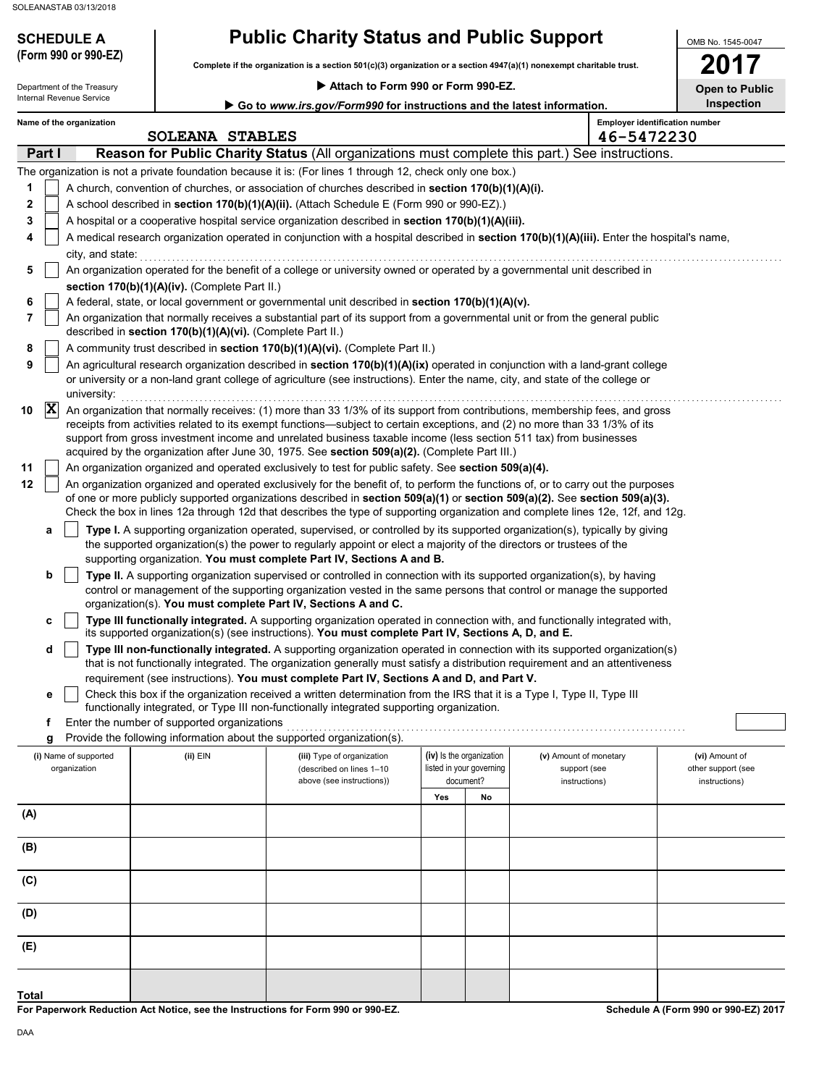## **SCHEDULE A Public Charity Status and Public Support**

**Complete if the organization is a section 501(c)(3) organization or a section 4947(a)(1) nonexempt charitable trust. (Form 990 or 990-EZ)**

 **Attach to Form 990 or Form 990-EZ.**

OMB No. 1545-0047 **2017**

| Open to Public |  |  |
|----------------|--|--|
|                |  |  |

|                                           |                  | Department of the Treasury            |                                                                                                             | ▶ Attach to Form 990 or Form 990-EZ.                                                                                                                                                                                                                                                                                                                                                                                                                                                                                                                                                                                                                                                                                                                                                                                                                                                                                                                                                                                                                                                                                                                                                                                                                                                                                                                                                                                                                                                                            |     |                                                                   |                                                         | <b>Open to Public</b>                                 |
|-------------------------------------------|------------------|---------------------------------------|-------------------------------------------------------------------------------------------------------------|-----------------------------------------------------------------------------------------------------------------------------------------------------------------------------------------------------------------------------------------------------------------------------------------------------------------------------------------------------------------------------------------------------------------------------------------------------------------------------------------------------------------------------------------------------------------------------------------------------------------------------------------------------------------------------------------------------------------------------------------------------------------------------------------------------------------------------------------------------------------------------------------------------------------------------------------------------------------------------------------------------------------------------------------------------------------------------------------------------------------------------------------------------------------------------------------------------------------------------------------------------------------------------------------------------------------------------------------------------------------------------------------------------------------------------------------------------------------------------------------------------------------|-----|-------------------------------------------------------------------|---------------------------------------------------------|-------------------------------------------------------|
|                                           |                  | Internal Revenue Service              |                                                                                                             | Go to www.irs.gov/Form990 for instructions and the latest information.                                                                                                                                                                                                                                                                                                                                                                                                                                                                                                                                                                                                                                                                                                                                                                                                                                                                                                                                                                                                                                                                                                                                                                                                                                                                                                                                                                                                                                          |     |                                                                   |                                                         | Inspection                                            |
|                                           |                  | Name of the organization              | <b>SOLEANA STABLES</b>                                                                                      |                                                                                                                                                                                                                                                                                                                                                                                                                                                                                                                                                                                                                                                                                                                                                                                                                                                                                                                                                                                                                                                                                                                                                                                                                                                                                                                                                                                                                                                                                                                 |     |                                                                   | 46-5472230                                              | <b>Employer identification number</b>                 |
|                                           | Part I           |                                       |                                                                                                             | Reason for Public Charity Status (All organizations must complete this part.) See instructions.                                                                                                                                                                                                                                                                                                                                                                                                                                                                                                                                                                                                                                                                                                                                                                                                                                                                                                                                                                                                                                                                                                                                                                                                                                                                                                                                                                                                                 |     |                                                                   |                                                         |                                                       |
| 1<br>2<br>3<br>4<br>5<br>6<br>7<br>8<br>9 |                  | city, and state:                      | section 170(b)(1)(A)(iv). (Complete Part II.)<br>described in section 170(b)(1)(A)(vi). (Complete Part II.) | The organization is not a private foundation because it is: (For lines 1 through 12, check only one box.)<br>A church, convention of churches, or association of churches described in section 170(b)(1)(A)(i).<br>A school described in section 170(b)(1)(A)(ii). (Attach Schedule E (Form 990 or 990-EZ).)<br>A hospital or a cooperative hospital service organization described in section 170(b)(1)(A)(iii).<br>A medical research organization operated in conjunction with a hospital described in section 170(b)(1)(A)(iii). Enter the hospital's name,<br>An organization operated for the benefit of a college or university owned or operated by a governmental unit described in<br>A federal, state, or local government or governmental unit described in section 170(b)(1)(A)(v).<br>An organization that normally receives a substantial part of its support from a governmental unit or from the general public<br>A community trust described in section 170(b)(1)(A)(vi). (Complete Part II.)<br>An agricultural research organization described in section 170(b)(1)(A)(ix) operated in conjunction with a land-grant college                                                                                                                                                                                                                                                                                                                                                               |     |                                                                   |                                                         |                                                       |
| 10<br>11<br>12                            | $ \mathbf{x} $   | university:                           |                                                                                                             | or university or a non-land grant college of agriculture (see instructions). Enter the name, city, and state of the college or<br>An organization that normally receives: (1) more than 33 1/3% of its support from contributions, membership fees, and gross<br>receipts from activities related to its exempt functions—subject to certain exceptions, and (2) no more than 33 1/3% of its<br>support from gross investment income and unrelated business taxable income (less section 511 tax) from businesses<br>acquired by the organization after June 30, 1975. See section 509(a)(2). (Complete Part III.)<br>An organization organized and operated exclusively to test for public safety. See section 509(a)(4).<br>An organization organized and operated exclusively for the benefit of, to perform the functions of, or to carry out the purposes                                                                                                                                                                                                                                                                                                                                                                                                                                                                                                                                                                                                                                                  |     |                                                                   |                                                         |                                                       |
|                                           | а<br>b<br>с<br>d |                                       |                                                                                                             | of one or more publicly supported organizations described in section 509(a)(1) or section 509(a)(2). See section 509(a)(3).<br>Check the box in lines 12a through 12d that describes the type of supporting organization and complete lines 12e, 12f, and 12g.<br>Type I. A supporting organization operated, supervised, or controlled by its supported organization(s), typically by giving<br>the supported organization(s) the power to regularly appoint or elect a majority of the directors or trustees of the<br>supporting organization. You must complete Part IV, Sections A and B.<br>Type II. A supporting organization supervised or controlled in connection with its supported organization(s), by having<br>control or management of the supporting organization vested in the same persons that control or manage the supported<br>organization(s). You must complete Part IV, Sections A and C.<br>Type III functionally integrated. A supporting organization operated in connection with, and functionally integrated with,<br>its supported organization(s) (see instructions). You must complete Part IV, Sections A, D, and E.<br>Type III non-functionally integrated. A supporting organization operated in connection with its supported organization(s)<br>that is not functionally integrated. The organization generally must satisfy a distribution requirement and an attentiveness<br>requirement (see instructions). You must complete Part IV, Sections A and D, and Part V. |     |                                                                   |                                                         |                                                       |
|                                           | е<br>f           |                                       | Enter the number of supported organizations                                                                 | Check this box if the organization received a written determination from the IRS that it is a Type I, Type II, Type III<br>functionally integrated, or Type III non-functionally integrated supporting organization.                                                                                                                                                                                                                                                                                                                                                                                                                                                                                                                                                                                                                                                                                                                                                                                                                                                                                                                                                                                                                                                                                                                                                                                                                                                                                            |     |                                                                   |                                                         |                                                       |
|                                           | g                | (i) Name of supported<br>organization | (ii) EIN                                                                                                    | Provide the following information about the supported organization(s).<br>(iii) Type of organization<br>(described on lines 1-10<br>above (see instructions))                                                                                                                                                                                                                                                                                                                                                                                                                                                                                                                                                                                                                                                                                                                                                                                                                                                                                                                                                                                                                                                                                                                                                                                                                                                                                                                                                   |     | (iv) Is the organization<br>listed in your governing<br>document? | (v) Amount of monetary<br>support (see<br>instructions) | (vi) Amount of<br>other support (see<br>instructions) |
| (A)                                       |                  |                                       |                                                                                                             |                                                                                                                                                                                                                                                                                                                                                                                                                                                                                                                                                                                                                                                                                                                                                                                                                                                                                                                                                                                                                                                                                                                                                                                                                                                                                                                                                                                                                                                                                                                 | Yes | No                                                                |                                                         |                                                       |
| (B)                                       |                  |                                       |                                                                                                             |                                                                                                                                                                                                                                                                                                                                                                                                                                                                                                                                                                                                                                                                                                                                                                                                                                                                                                                                                                                                                                                                                                                                                                                                                                                                                                                                                                                                                                                                                                                 |     |                                                                   |                                                         |                                                       |
| (C)                                       |                  |                                       |                                                                                                             |                                                                                                                                                                                                                                                                                                                                                                                                                                                                                                                                                                                                                                                                                                                                                                                                                                                                                                                                                                                                                                                                                                                                                                                                                                                                                                                                                                                                                                                                                                                 |     |                                                                   |                                                         |                                                       |
| (D)                                       |                  |                                       |                                                                                                             |                                                                                                                                                                                                                                                                                                                                                                                                                                                                                                                                                                                                                                                                                                                                                                                                                                                                                                                                                                                                                                                                                                                                                                                                                                                                                                                                                                                                                                                                                                                 |     |                                                                   |                                                         |                                                       |
| (E)                                       |                  |                                       |                                                                                                             |                                                                                                                                                                                                                                                                                                                                                                                                                                                                                                                                                                                                                                                                                                                                                                                                                                                                                                                                                                                                                                                                                                                                                                                                                                                                                                                                                                                                                                                                                                                 |     |                                                                   |                                                         |                                                       |
|                                           |                  |                                       |                                                                                                             |                                                                                                                                                                                                                                                                                                                                                                                                                                                                                                                                                                                                                                                                                                                                                                                                                                                                                                                                                                                                                                                                                                                                                                                                                                                                                                                                                                                                                                                                                                                 |     |                                                                   |                                                         |                                                       |

**For Paperwork Reduction Act Notice, see the Instructions for Form 990 or 990-EZ.**

**Schedule A (Form 990 or 990-EZ) 2017**

**Total**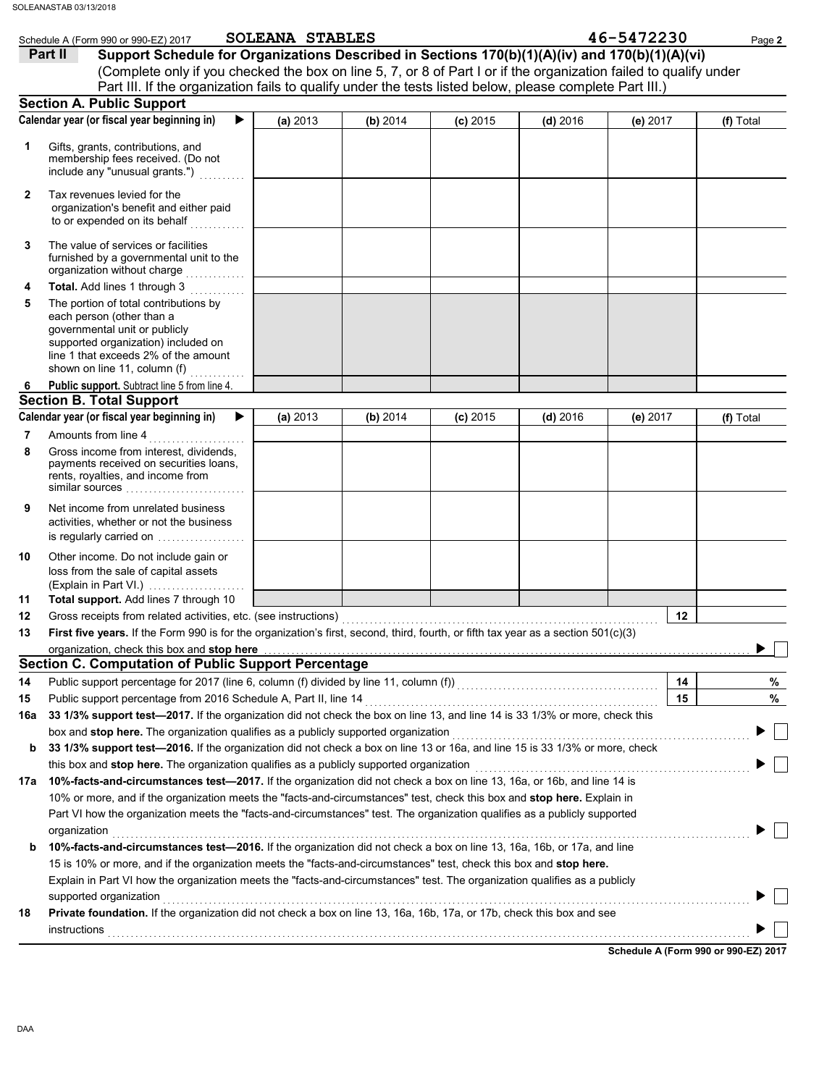|        | Schedule A (Form 990 or 990-EZ) 2017                                                                                                                                                                               | <b>SOLEANA STABLES</b> |          |            |            | 46-5472230 | Page 2    |
|--------|--------------------------------------------------------------------------------------------------------------------------------------------------------------------------------------------------------------------|------------------------|----------|------------|------------|------------|-----------|
|        | Support Schedule for Organizations Described in Sections 170(b)(1)(A)(iv) and 170(b)(1)(A)(vi)<br>Part II                                                                                                          |                        |          |            |            |            |           |
|        | (Complete only if you checked the box on line 5, 7, or 8 of Part I or if the organization failed to qualify under                                                                                                  |                        |          |            |            |            |           |
|        | Part III. If the organization fails to qualify under the tests listed below, please complete Part III.)                                                                                                            |                        |          |            |            |            |           |
|        | <b>Section A. Public Support</b>                                                                                                                                                                                   |                        |          |            |            |            |           |
|        | Calendar year (or fiscal year beginning in)<br>▶                                                                                                                                                                   | (a) 2013               | (b) 2014 | $(c)$ 2015 | $(d)$ 2016 | (e) 2017   | (f) Total |
| 1      | Gifts, grants, contributions, and<br>membership fees received. (Do not<br>include any "unusual grants.")                                                                                                           |                        |          |            |            |            |           |
| 2      | Tax revenues levied for the<br>organization's benefit and either paid<br>to or expended on its behalf<br><u> 1999 - Jan Barat, p</u>                                                                               |                        |          |            |            |            |           |
| 3      | The value of services or facilities<br>furnished by a governmental unit to the<br>organization without charge<br>a martin de la calendaria.<br>Notas de la calendaria                                              |                        |          |            |            |            |           |
| 4      | Total. Add lines 1 through 3                                                                                                                                                                                       |                        |          |            |            |            |           |
| 5      | The portion of total contributions by<br>each person (other than a<br>governmental unit or publicly<br>supported organization) included on<br>line 1 that exceeds 2% of the amount<br>shown on line 11, column (f) |                        |          |            |            |            |           |
| 6      | Public support. Subtract line 5 from line 4.                                                                                                                                                                       |                        |          |            |            |            |           |
|        | <b>Section B. Total Support</b>                                                                                                                                                                                    |                        |          |            |            |            |           |
|        | Calendar year (or fiscal year beginning in)<br>▶                                                                                                                                                                   | (a) 2013               | (b) 2014 | $(c)$ 2015 | $(d)$ 2016 | (e) $2017$ | (f) Total |
| 7<br>8 | Amounts from line 4<br>Gross income from interest, dividends,<br>payments received on securities loans,<br>rents, royalties, and income from                                                                       |                        |          |            |            |            |           |
| 9      | Net income from unrelated business<br>activities, whether or not the business<br>is regularly carried on                                                                                                           |                        |          |            |            |            |           |
| 10     | Other income. Do not include gain or<br>loss from the sale of capital assets<br>(Explain in Part VI.)                                                                                                              |                        |          |            |            |            |           |
| 11     | Total support. Add lines 7 through 10                                                                                                                                                                              |                        |          |            |            |            |           |
| 12     | Gross receipts from related activities, etc. (see instructions)                                                                                                                                                    |                        |          |            |            | 12         |           |
| 13     | First five years. If the Form 990 is for the organization's first, second, third, fourth, or fifth tax year as a section 501(c)(3)                                                                                 |                        |          |            |            |            |           |
|        | organization, check this box and stop here<br><b>Section C. Computation of Public Support Percentage</b>                                                                                                           |                        |          |            |            |            |           |
|        |                                                                                                                                                                                                                    |                        |          |            |            |            |           |
| 14     | Public support percentage for 2017 (line 6, column (f) divided by line 11, column (f)) [[[[[[[[[[[[[[[[[[[[[[                                                                                                      |                        |          |            |            | 14<br>15   | %<br>%    |
| 15     | Public support percentage from 2016 Schedule A, Part II, line 14                                                                                                                                                   |                        |          |            |            |            |           |
| 16a    | 33 1/3% support test-2017. If the organization did not check the box on line 13, and line 14 is 33 1/3% or more, check this<br>box and stop here. The organization qualifies as a publicly supported organization  |                        |          |            |            |            |           |
| b      | 33 1/3% support test-2016. If the organization did not check a box on line 13 or 16a, and line 15 is 33 1/3% or more, check                                                                                        |                        |          |            |            |            |           |
|        | this box and stop here. The organization qualifies as a publicly supported organization                                                                                                                            |                        |          |            |            |            |           |
| 17a    | 10%-facts-and-circumstances test-2017. If the organization did not check a box on line 13, 16a, or 16b, and line 14 is                                                                                             |                        |          |            |            |            |           |
|        | 10% or more, and if the organization meets the "facts-and-circumstances" test, check this box and stop here. Explain in                                                                                            |                        |          |            |            |            |           |
|        | Part VI how the organization meets the "facts-and-circumstances" test. The organization qualifies as a publicly supported                                                                                          |                        |          |            |            |            |           |
|        | organization                                                                                                                                                                                                       |                        |          |            |            |            |           |
| b      | 10%-facts-and-circumstances test-2016. If the organization did not check a box on line 13, 16a, 16b, or 17a, and line                                                                                              |                        |          |            |            |            |           |
|        | 15 is 10% or more, and if the organization meets the "facts-and-circumstances" test, check this box and stop here.                                                                                                 |                        |          |            |            |            |           |
|        | Explain in Part VI how the organization meets the "facts-and-circumstances" test. The organization qualifies as a publicly                                                                                         |                        |          |            |            |            |           |
|        | supported organization                                                                                                                                                                                             |                        |          |            |            |            |           |
| 18     | Private foundation. If the organization did not check a box on line 13, 16a, 16b, 17a, or 17b, check this box and see                                                                                              |                        |          |            |            |            |           |
|        | instructions                                                                                                                                                                                                       |                        |          |            |            |            |           |
|        |                                                                                                                                                                                                                    |                        |          |            |            |            |           |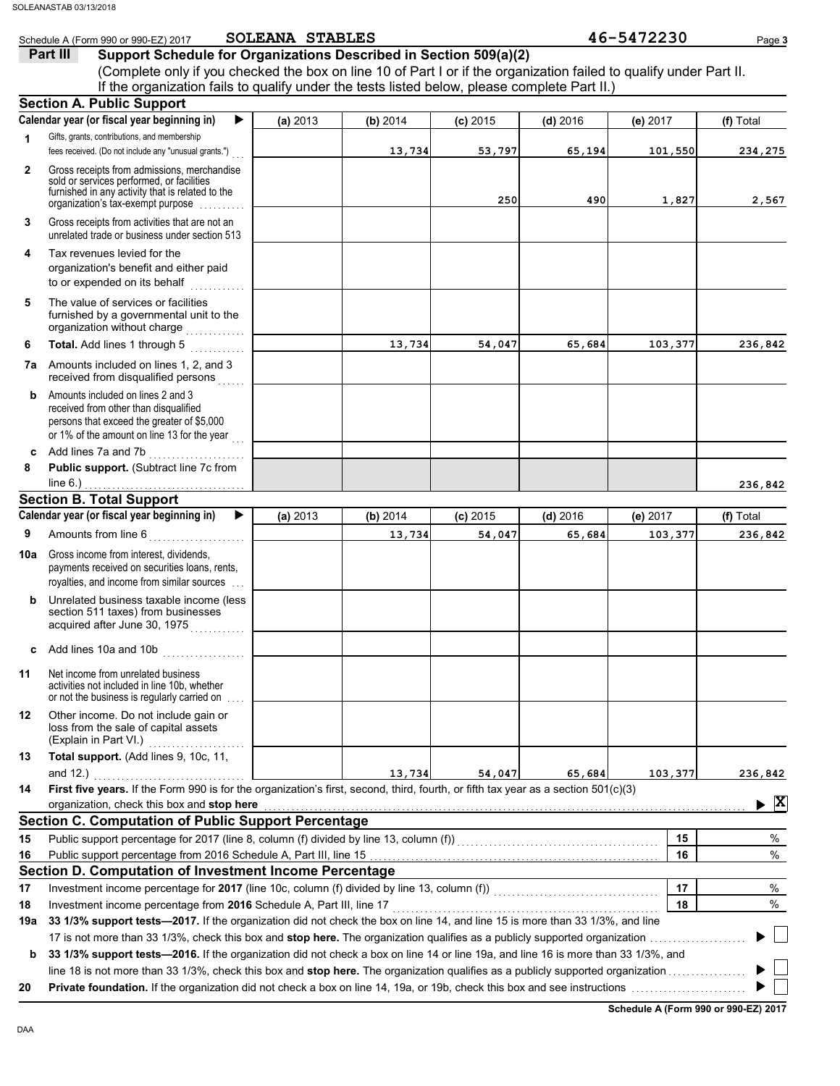| Support Schedule for Organizations Described in Section 509(a)(2)<br>Part III<br>(Complete only if you checked the box on line 10 of Part I or if the organization failed to qualify under Part II.<br>If the organization fails to qualify under the tests listed below, please complete Part II.)<br><b>Section A. Public Support</b><br>Calendar year (or fiscal year beginning in)<br>▶<br>(a) 2013<br>(b) 2014<br>$(c)$ 2015<br>(f) Total<br>$(d)$ 2016<br>(e) 2017<br>Gifts, grants, contributions, and membership<br>1<br>fees received. (Do not include any "unusual grants.")<br>13,734<br>53,797<br>65,194<br>101,550<br>234,275<br>Gross receipts from admissions, merchandise<br>$\mathbf{2}$<br>sold or services performed, or facilities<br>furnished in any activity that is related to the<br>250<br>490<br>1,827<br>organization's tax-exempt purpose manuscription<br>Gross receipts from activities that are not an<br>3<br>unrelated trade or business under section 513<br>Tax revenues levied for the<br>4<br>organization's benefit and either paid<br>to or expended on its behalf<br>The value of services or facilities<br>5<br>furnished by a governmental unit to the<br>organization without charge<br>Total. Add lines 1 through 5<br>13,734<br>54,047<br>65,684<br>103,377<br>6<br>Amounts included on lines 1, 2, and 3<br>7a<br>received from disqualified persons<br>Amounts included on lines 2 and 3<br>b<br>received from other than disqualified<br>persons that exceed the greater of \$5,000<br>or 1% of the amount on line 13 for the year<br>Add lines 7a and 7b<br>c<br>Public support. (Subtract line 7c from<br>8<br>line $6.$ )<br><b>Section B. Total Support</b><br>Calendar year (or fiscal year beginning in)<br>(a) 2013<br>(b) 2014<br>$(c)$ 2015<br>$(d)$ 2016<br>(e) 2017<br>(f) Total<br>Amounts from line 6<br>9<br>13,734<br>54,047<br>103,377<br>65,684<br>Gross income from interest, dividends,<br>payments received on securities loans, rents,<br>royalties, and income from similar sources<br>Unrelated business taxable income (less<br>b<br>section 511 taxes) from businesses<br>acquired after June 30, 1975<br>Add lines 10a and 10b $\ldots$ , $\ldots$<br>c<br>Net income from unrelated business<br>activities not included in line 10b, whether<br>or not the business is regularly carried on<br>Other income. Do not include gain or<br>loss from the sale of capital assets<br>(Explain in Part VI.)<br>Total support. (Add lines 9, 10c, 11,<br>13,734<br>54,047<br>65,684<br>103,377<br>First five years. If the Form 990 is for the organization's first, second, third, fourth, or fifth tax year as a section 501(c)(3)<br>organization, check this box and stop here<br>▶<br><b>Section C. Computation of Public Support Percentage</b><br>Public support percentage for 2017 (line 8, column (f) divided by line 13, column (f))<br>[[[[Column (f)]<br>15<br>15<br>16<br>16<br>Section D. Computation of Investment Income Percentage<br>Investment income percentage for 2017 (line 10c, column (f) divided by line 13, column (f)) [[[[[[[[[[[[[[[[[<br>17<br>Investment income percentage from 2016 Schedule A, Part III, line 17<br>18<br>18<br>33 1/3% support tests—2017. If the organization did not check the box on line 14, and line 15 is more than 33 1/3%, and line<br>33 1/3% support tests—2016. If the organization did not check a box on line 14 or line 19a, and line 16 is more than 33 1/3%, and<br>b<br>20 |     | Schedule A (Form 990 or 990-EZ) 2017 | SOLEANA STABLES |  | 46-5472230 | Page 3       |
|---------------------------------------------------------------------------------------------------------------------------------------------------------------------------------------------------------------------------------------------------------------------------------------------------------------------------------------------------------------------------------------------------------------------------------------------------------------------------------------------------------------------------------------------------------------------------------------------------------------------------------------------------------------------------------------------------------------------------------------------------------------------------------------------------------------------------------------------------------------------------------------------------------------------------------------------------------------------------------------------------------------------------------------------------------------------------------------------------------------------------------------------------------------------------------------------------------------------------------------------------------------------------------------------------------------------------------------------------------------------------------------------------------------------------------------------------------------------------------------------------------------------------------------------------------------------------------------------------------------------------------------------------------------------------------------------------------------------------------------------------------------------------------------------------------------------------------------------------------------------------------------------------------------------------------------------------------------------------------------------------------------------------------------------------------------------------------------------------------------------------------------------------------------------------------------------------------------------------------------------------------------------------------------------------------------------------------------------------------------------------------------------------------------------------------------------------------------------------------------------------------------------------------------------------------------------------------------------------------------------------------------------------------------------------------------------------------------------------------------------------------------------------------------------------------------------------------------------------------------------------------------------------------------------------------------------------------------------------------------------------------------------------------------------------------------------------------------------------------------------------------------------------------------------------------------------------------------------------------------------------------------------------------------------------------------------------------------------------------------------------------------------------------------------------------------------------------------------------------------------------------------------|-----|--------------------------------------|-----------------|--|------------|--------------|
|                                                                                                                                                                                                                                                                                                                                                                                                                                                                                                                                                                                                                                                                                                                                                                                                                                                                                                                                                                                                                                                                                                                                                                                                                                                                                                                                                                                                                                                                                                                                                                                                                                                                                                                                                                                                                                                                                                                                                                                                                                                                                                                                                                                                                                                                                                                                                                                                                                                                                                                                                                                                                                                                                                                                                                                                                                                                                                                                                                                                                                                                                                                                                                                                                                                                                                                                                                                                                                                                                                                     |     |                                      |                 |  |            |              |
|                                                                                                                                                                                                                                                                                                                                                                                                                                                                                                                                                                                                                                                                                                                                                                                                                                                                                                                                                                                                                                                                                                                                                                                                                                                                                                                                                                                                                                                                                                                                                                                                                                                                                                                                                                                                                                                                                                                                                                                                                                                                                                                                                                                                                                                                                                                                                                                                                                                                                                                                                                                                                                                                                                                                                                                                                                                                                                                                                                                                                                                                                                                                                                                                                                                                                                                                                                                                                                                                                                                     |     |                                      |                 |  |            |              |
|                                                                                                                                                                                                                                                                                                                                                                                                                                                                                                                                                                                                                                                                                                                                                                                                                                                                                                                                                                                                                                                                                                                                                                                                                                                                                                                                                                                                                                                                                                                                                                                                                                                                                                                                                                                                                                                                                                                                                                                                                                                                                                                                                                                                                                                                                                                                                                                                                                                                                                                                                                                                                                                                                                                                                                                                                                                                                                                                                                                                                                                                                                                                                                                                                                                                                                                                                                                                                                                                                                                     |     |                                      |                 |  |            |              |
|                                                                                                                                                                                                                                                                                                                                                                                                                                                                                                                                                                                                                                                                                                                                                                                                                                                                                                                                                                                                                                                                                                                                                                                                                                                                                                                                                                                                                                                                                                                                                                                                                                                                                                                                                                                                                                                                                                                                                                                                                                                                                                                                                                                                                                                                                                                                                                                                                                                                                                                                                                                                                                                                                                                                                                                                                                                                                                                                                                                                                                                                                                                                                                                                                                                                                                                                                                                                                                                                                                                     |     |                                      |                 |  |            |              |
|                                                                                                                                                                                                                                                                                                                                                                                                                                                                                                                                                                                                                                                                                                                                                                                                                                                                                                                                                                                                                                                                                                                                                                                                                                                                                                                                                                                                                                                                                                                                                                                                                                                                                                                                                                                                                                                                                                                                                                                                                                                                                                                                                                                                                                                                                                                                                                                                                                                                                                                                                                                                                                                                                                                                                                                                                                                                                                                                                                                                                                                                                                                                                                                                                                                                                                                                                                                                                                                                                                                     |     |                                      |                 |  |            |              |
|                                                                                                                                                                                                                                                                                                                                                                                                                                                                                                                                                                                                                                                                                                                                                                                                                                                                                                                                                                                                                                                                                                                                                                                                                                                                                                                                                                                                                                                                                                                                                                                                                                                                                                                                                                                                                                                                                                                                                                                                                                                                                                                                                                                                                                                                                                                                                                                                                                                                                                                                                                                                                                                                                                                                                                                                                                                                                                                                                                                                                                                                                                                                                                                                                                                                                                                                                                                                                                                                                                                     |     |                                      |                 |  |            |              |
|                                                                                                                                                                                                                                                                                                                                                                                                                                                                                                                                                                                                                                                                                                                                                                                                                                                                                                                                                                                                                                                                                                                                                                                                                                                                                                                                                                                                                                                                                                                                                                                                                                                                                                                                                                                                                                                                                                                                                                                                                                                                                                                                                                                                                                                                                                                                                                                                                                                                                                                                                                                                                                                                                                                                                                                                                                                                                                                                                                                                                                                                                                                                                                                                                                                                                                                                                                                                                                                                                                                     |     |                                      |                 |  |            |              |
|                                                                                                                                                                                                                                                                                                                                                                                                                                                                                                                                                                                                                                                                                                                                                                                                                                                                                                                                                                                                                                                                                                                                                                                                                                                                                                                                                                                                                                                                                                                                                                                                                                                                                                                                                                                                                                                                                                                                                                                                                                                                                                                                                                                                                                                                                                                                                                                                                                                                                                                                                                                                                                                                                                                                                                                                                                                                                                                                                                                                                                                                                                                                                                                                                                                                                                                                                                                                                                                                                                                     |     |                                      |                 |  |            | 2,567        |
|                                                                                                                                                                                                                                                                                                                                                                                                                                                                                                                                                                                                                                                                                                                                                                                                                                                                                                                                                                                                                                                                                                                                                                                                                                                                                                                                                                                                                                                                                                                                                                                                                                                                                                                                                                                                                                                                                                                                                                                                                                                                                                                                                                                                                                                                                                                                                                                                                                                                                                                                                                                                                                                                                                                                                                                                                                                                                                                                                                                                                                                                                                                                                                                                                                                                                                                                                                                                                                                                                                                     |     |                                      |                 |  |            |              |
|                                                                                                                                                                                                                                                                                                                                                                                                                                                                                                                                                                                                                                                                                                                                                                                                                                                                                                                                                                                                                                                                                                                                                                                                                                                                                                                                                                                                                                                                                                                                                                                                                                                                                                                                                                                                                                                                                                                                                                                                                                                                                                                                                                                                                                                                                                                                                                                                                                                                                                                                                                                                                                                                                                                                                                                                                                                                                                                                                                                                                                                                                                                                                                                                                                                                                                                                                                                                                                                                                                                     |     |                                      |                 |  |            |              |
|                                                                                                                                                                                                                                                                                                                                                                                                                                                                                                                                                                                                                                                                                                                                                                                                                                                                                                                                                                                                                                                                                                                                                                                                                                                                                                                                                                                                                                                                                                                                                                                                                                                                                                                                                                                                                                                                                                                                                                                                                                                                                                                                                                                                                                                                                                                                                                                                                                                                                                                                                                                                                                                                                                                                                                                                                                                                                                                                                                                                                                                                                                                                                                                                                                                                                                                                                                                                                                                                                                                     |     |                                      |                 |  |            |              |
|                                                                                                                                                                                                                                                                                                                                                                                                                                                                                                                                                                                                                                                                                                                                                                                                                                                                                                                                                                                                                                                                                                                                                                                                                                                                                                                                                                                                                                                                                                                                                                                                                                                                                                                                                                                                                                                                                                                                                                                                                                                                                                                                                                                                                                                                                                                                                                                                                                                                                                                                                                                                                                                                                                                                                                                                                                                                                                                                                                                                                                                                                                                                                                                                                                                                                                                                                                                                                                                                                                                     |     |                                      |                 |  |            | 236,842      |
|                                                                                                                                                                                                                                                                                                                                                                                                                                                                                                                                                                                                                                                                                                                                                                                                                                                                                                                                                                                                                                                                                                                                                                                                                                                                                                                                                                                                                                                                                                                                                                                                                                                                                                                                                                                                                                                                                                                                                                                                                                                                                                                                                                                                                                                                                                                                                                                                                                                                                                                                                                                                                                                                                                                                                                                                                                                                                                                                                                                                                                                                                                                                                                                                                                                                                                                                                                                                                                                                                                                     |     |                                      |                 |  |            |              |
|                                                                                                                                                                                                                                                                                                                                                                                                                                                                                                                                                                                                                                                                                                                                                                                                                                                                                                                                                                                                                                                                                                                                                                                                                                                                                                                                                                                                                                                                                                                                                                                                                                                                                                                                                                                                                                                                                                                                                                                                                                                                                                                                                                                                                                                                                                                                                                                                                                                                                                                                                                                                                                                                                                                                                                                                                                                                                                                                                                                                                                                                                                                                                                                                                                                                                                                                                                                                                                                                                                                     |     |                                      |                 |  |            |              |
|                                                                                                                                                                                                                                                                                                                                                                                                                                                                                                                                                                                                                                                                                                                                                                                                                                                                                                                                                                                                                                                                                                                                                                                                                                                                                                                                                                                                                                                                                                                                                                                                                                                                                                                                                                                                                                                                                                                                                                                                                                                                                                                                                                                                                                                                                                                                                                                                                                                                                                                                                                                                                                                                                                                                                                                                                                                                                                                                                                                                                                                                                                                                                                                                                                                                                                                                                                                                                                                                                                                     |     |                                      |                 |  |            |              |
|                                                                                                                                                                                                                                                                                                                                                                                                                                                                                                                                                                                                                                                                                                                                                                                                                                                                                                                                                                                                                                                                                                                                                                                                                                                                                                                                                                                                                                                                                                                                                                                                                                                                                                                                                                                                                                                                                                                                                                                                                                                                                                                                                                                                                                                                                                                                                                                                                                                                                                                                                                                                                                                                                                                                                                                                                                                                                                                                                                                                                                                                                                                                                                                                                                                                                                                                                                                                                                                                                                                     |     |                                      |                 |  |            | 236,842      |
|                                                                                                                                                                                                                                                                                                                                                                                                                                                                                                                                                                                                                                                                                                                                                                                                                                                                                                                                                                                                                                                                                                                                                                                                                                                                                                                                                                                                                                                                                                                                                                                                                                                                                                                                                                                                                                                                                                                                                                                                                                                                                                                                                                                                                                                                                                                                                                                                                                                                                                                                                                                                                                                                                                                                                                                                                                                                                                                                                                                                                                                                                                                                                                                                                                                                                                                                                                                                                                                                                                                     |     |                                      |                 |  |            |              |
|                                                                                                                                                                                                                                                                                                                                                                                                                                                                                                                                                                                                                                                                                                                                                                                                                                                                                                                                                                                                                                                                                                                                                                                                                                                                                                                                                                                                                                                                                                                                                                                                                                                                                                                                                                                                                                                                                                                                                                                                                                                                                                                                                                                                                                                                                                                                                                                                                                                                                                                                                                                                                                                                                                                                                                                                                                                                                                                                                                                                                                                                                                                                                                                                                                                                                                                                                                                                                                                                                                                     |     |                                      |                 |  |            |              |
|                                                                                                                                                                                                                                                                                                                                                                                                                                                                                                                                                                                                                                                                                                                                                                                                                                                                                                                                                                                                                                                                                                                                                                                                                                                                                                                                                                                                                                                                                                                                                                                                                                                                                                                                                                                                                                                                                                                                                                                                                                                                                                                                                                                                                                                                                                                                                                                                                                                                                                                                                                                                                                                                                                                                                                                                                                                                                                                                                                                                                                                                                                                                                                                                                                                                                                                                                                                                                                                                                                                     |     |                                      |                 |  |            | 236,842      |
|                                                                                                                                                                                                                                                                                                                                                                                                                                                                                                                                                                                                                                                                                                                                                                                                                                                                                                                                                                                                                                                                                                                                                                                                                                                                                                                                                                                                                                                                                                                                                                                                                                                                                                                                                                                                                                                                                                                                                                                                                                                                                                                                                                                                                                                                                                                                                                                                                                                                                                                                                                                                                                                                                                                                                                                                                                                                                                                                                                                                                                                                                                                                                                                                                                                                                                                                                                                                                                                                                                                     | 10a |                                      |                 |  |            |              |
|                                                                                                                                                                                                                                                                                                                                                                                                                                                                                                                                                                                                                                                                                                                                                                                                                                                                                                                                                                                                                                                                                                                                                                                                                                                                                                                                                                                                                                                                                                                                                                                                                                                                                                                                                                                                                                                                                                                                                                                                                                                                                                                                                                                                                                                                                                                                                                                                                                                                                                                                                                                                                                                                                                                                                                                                                                                                                                                                                                                                                                                                                                                                                                                                                                                                                                                                                                                                                                                                                                                     |     |                                      |                 |  |            |              |
|                                                                                                                                                                                                                                                                                                                                                                                                                                                                                                                                                                                                                                                                                                                                                                                                                                                                                                                                                                                                                                                                                                                                                                                                                                                                                                                                                                                                                                                                                                                                                                                                                                                                                                                                                                                                                                                                                                                                                                                                                                                                                                                                                                                                                                                                                                                                                                                                                                                                                                                                                                                                                                                                                                                                                                                                                                                                                                                                                                                                                                                                                                                                                                                                                                                                                                                                                                                                                                                                                                                     |     |                                      |                 |  |            |              |
|                                                                                                                                                                                                                                                                                                                                                                                                                                                                                                                                                                                                                                                                                                                                                                                                                                                                                                                                                                                                                                                                                                                                                                                                                                                                                                                                                                                                                                                                                                                                                                                                                                                                                                                                                                                                                                                                                                                                                                                                                                                                                                                                                                                                                                                                                                                                                                                                                                                                                                                                                                                                                                                                                                                                                                                                                                                                                                                                                                                                                                                                                                                                                                                                                                                                                                                                                                                                                                                                                                                     | 11  |                                      |                 |  |            |              |
|                                                                                                                                                                                                                                                                                                                                                                                                                                                                                                                                                                                                                                                                                                                                                                                                                                                                                                                                                                                                                                                                                                                                                                                                                                                                                                                                                                                                                                                                                                                                                                                                                                                                                                                                                                                                                                                                                                                                                                                                                                                                                                                                                                                                                                                                                                                                                                                                                                                                                                                                                                                                                                                                                                                                                                                                                                                                                                                                                                                                                                                                                                                                                                                                                                                                                                                                                                                                                                                                                                                     | 12  |                                      |                 |  |            |              |
|                                                                                                                                                                                                                                                                                                                                                                                                                                                                                                                                                                                                                                                                                                                                                                                                                                                                                                                                                                                                                                                                                                                                                                                                                                                                                                                                                                                                                                                                                                                                                                                                                                                                                                                                                                                                                                                                                                                                                                                                                                                                                                                                                                                                                                                                                                                                                                                                                                                                                                                                                                                                                                                                                                                                                                                                                                                                                                                                                                                                                                                                                                                                                                                                                                                                                                                                                                                                                                                                                                                     | 13  |                                      |                 |  |            | 236,842      |
|                                                                                                                                                                                                                                                                                                                                                                                                                                                                                                                                                                                                                                                                                                                                                                                                                                                                                                                                                                                                                                                                                                                                                                                                                                                                                                                                                                                                                                                                                                                                                                                                                                                                                                                                                                                                                                                                                                                                                                                                                                                                                                                                                                                                                                                                                                                                                                                                                                                                                                                                                                                                                                                                                                                                                                                                                                                                                                                                                                                                                                                                                                                                                                                                                                                                                                                                                                                                                                                                                                                     | 14  |                                      |                 |  |            | $\mathbf{x}$ |
|                                                                                                                                                                                                                                                                                                                                                                                                                                                                                                                                                                                                                                                                                                                                                                                                                                                                                                                                                                                                                                                                                                                                                                                                                                                                                                                                                                                                                                                                                                                                                                                                                                                                                                                                                                                                                                                                                                                                                                                                                                                                                                                                                                                                                                                                                                                                                                                                                                                                                                                                                                                                                                                                                                                                                                                                                                                                                                                                                                                                                                                                                                                                                                                                                                                                                                                                                                                                                                                                                                                     |     |                                      |                 |  |            |              |
|                                                                                                                                                                                                                                                                                                                                                                                                                                                                                                                                                                                                                                                                                                                                                                                                                                                                                                                                                                                                                                                                                                                                                                                                                                                                                                                                                                                                                                                                                                                                                                                                                                                                                                                                                                                                                                                                                                                                                                                                                                                                                                                                                                                                                                                                                                                                                                                                                                                                                                                                                                                                                                                                                                                                                                                                                                                                                                                                                                                                                                                                                                                                                                                                                                                                                                                                                                                                                                                                                                                     |     |                                      |                 |  |            | $\%$         |
|                                                                                                                                                                                                                                                                                                                                                                                                                                                                                                                                                                                                                                                                                                                                                                                                                                                                                                                                                                                                                                                                                                                                                                                                                                                                                                                                                                                                                                                                                                                                                                                                                                                                                                                                                                                                                                                                                                                                                                                                                                                                                                                                                                                                                                                                                                                                                                                                                                                                                                                                                                                                                                                                                                                                                                                                                                                                                                                                                                                                                                                                                                                                                                                                                                                                                                                                                                                                                                                                                                                     |     |                                      |                 |  |            | $\%$         |
|                                                                                                                                                                                                                                                                                                                                                                                                                                                                                                                                                                                                                                                                                                                                                                                                                                                                                                                                                                                                                                                                                                                                                                                                                                                                                                                                                                                                                                                                                                                                                                                                                                                                                                                                                                                                                                                                                                                                                                                                                                                                                                                                                                                                                                                                                                                                                                                                                                                                                                                                                                                                                                                                                                                                                                                                                                                                                                                                                                                                                                                                                                                                                                                                                                                                                                                                                                                                                                                                                                                     |     |                                      |                 |  |            |              |
|                                                                                                                                                                                                                                                                                                                                                                                                                                                                                                                                                                                                                                                                                                                                                                                                                                                                                                                                                                                                                                                                                                                                                                                                                                                                                                                                                                                                                                                                                                                                                                                                                                                                                                                                                                                                                                                                                                                                                                                                                                                                                                                                                                                                                                                                                                                                                                                                                                                                                                                                                                                                                                                                                                                                                                                                                                                                                                                                                                                                                                                                                                                                                                                                                                                                                                                                                                                                                                                                                                                     | 17  |                                      |                 |  |            | %            |
|                                                                                                                                                                                                                                                                                                                                                                                                                                                                                                                                                                                                                                                                                                                                                                                                                                                                                                                                                                                                                                                                                                                                                                                                                                                                                                                                                                                                                                                                                                                                                                                                                                                                                                                                                                                                                                                                                                                                                                                                                                                                                                                                                                                                                                                                                                                                                                                                                                                                                                                                                                                                                                                                                                                                                                                                                                                                                                                                                                                                                                                                                                                                                                                                                                                                                                                                                                                                                                                                                                                     |     |                                      |                 |  |            | %            |
|                                                                                                                                                                                                                                                                                                                                                                                                                                                                                                                                                                                                                                                                                                                                                                                                                                                                                                                                                                                                                                                                                                                                                                                                                                                                                                                                                                                                                                                                                                                                                                                                                                                                                                                                                                                                                                                                                                                                                                                                                                                                                                                                                                                                                                                                                                                                                                                                                                                                                                                                                                                                                                                                                                                                                                                                                                                                                                                                                                                                                                                                                                                                                                                                                                                                                                                                                                                                                                                                                                                     | 19a |                                      |                 |  |            |              |
|                                                                                                                                                                                                                                                                                                                                                                                                                                                                                                                                                                                                                                                                                                                                                                                                                                                                                                                                                                                                                                                                                                                                                                                                                                                                                                                                                                                                                                                                                                                                                                                                                                                                                                                                                                                                                                                                                                                                                                                                                                                                                                                                                                                                                                                                                                                                                                                                                                                                                                                                                                                                                                                                                                                                                                                                                                                                                                                                                                                                                                                                                                                                                                                                                                                                                                                                                                                                                                                                                                                     |     |                                      |                 |  |            |              |
|                                                                                                                                                                                                                                                                                                                                                                                                                                                                                                                                                                                                                                                                                                                                                                                                                                                                                                                                                                                                                                                                                                                                                                                                                                                                                                                                                                                                                                                                                                                                                                                                                                                                                                                                                                                                                                                                                                                                                                                                                                                                                                                                                                                                                                                                                                                                                                                                                                                                                                                                                                                                                                                                                                                                                                                                                                                                                                                                                                                                                                                                                                                                                                                                                                                                                                                                                                                                                                                                                                                     |     |                                      |                 |  |            |              |
|                                                                                                                                                                                                                                                                                                                                                                                                                                                                                                                                                                                                                                                                                                                                                                                                                                                                                                                                                                                                                                                                                                                                                                                                                                                                                                                                                                                                                                                                                                                                                                                                                                                                                                                                                                                                                                                                                                                                                                                                                                                                                                                                                                                                                                                                                                                                                                                                                                                                                                                                                                                                                                                                                                                                                                                                                                                                                                                                                                                                                                                                                                                                                                                                                                                                                                                                                                                                                                                                                                                     |     |                                      |                 |  |            |              |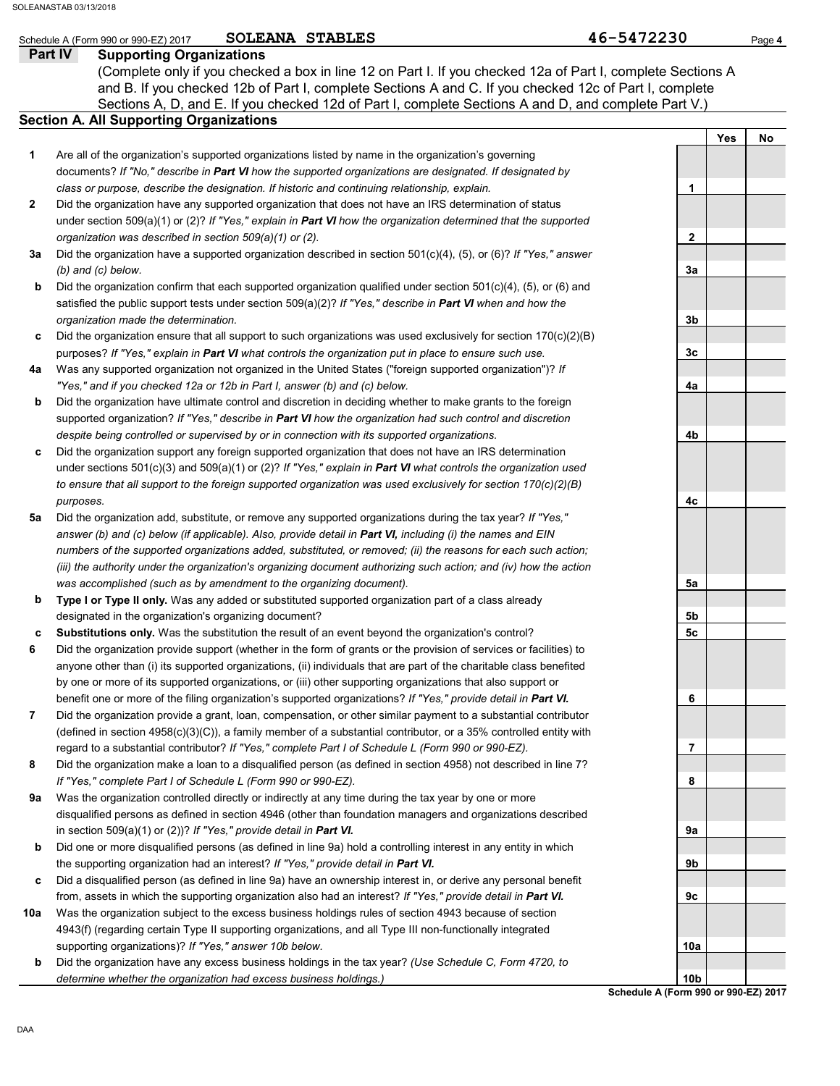## **Part IV Supporting Organizations** Sections A, D, and E. If you checked 12d of Part I, complete Sections A and D, and complete Part V.) Schedule A (Form 990 or 990-EZ) 2017 **SOLEANA STABLES Page 4 Page 4 Page 4 Page 4 Section A. All Supporting Organizations** (Complete only if you checked a box in line 12 on Part I. If you checked 12a of Part I, complete Sections A and B. If you checked 12b of Part I, complete Sections A and C. If you checked 12c of Part I, complete Are all of the organization's supported organizations listed by name in the organization's governing documents? *If "No," describe in Part VI how the supported organizations are designated. If designated by class or purpose, describe the designation. If historic and continuing relationship, explain.* Did the organization have any supported organization that does not have an IRS determination of status under section 509(a)(1) or (2)? *If "Yes," explain in Part VI how the organization determined that the supported organization was described in section 509(a)(1) or (2).* **1 2 3a** Did the organization have a supported organization described in section 501(c)(4), (5), or (6)? *If "Yes," answer* **b** Did the organization confirm that each supported organization qualified under section 501(c)(4), (5), or (6) and **c** Did the organization ensure that all support to such organizations was used exclusively for section 170(c)(2)(B) **4a b** Did the organization have ultimate control and discretion in deciding whether to make grants to the foreign **c 5a** *(b) and (c) below.* satisfied the public support tests under section 509(a)(2)? *If "Yes," describe in Part VI when and how the organization made the determination.* purposes? *If "Yes," explain in Part VI what controls the organization put in place to ensure such use.* Was any supported organization not organized in the United States ("foreign supported organization")? *If "Yes," and if you checked 12a or 12b in Part I, answer (b) and (c) below.* supported organization? *If "Yes," describe in Part VI how the organization had such control and discretion despite being controlled or supervised by or in connection with its supported organizations.* Did the organization support any foreign supported organization that does not have an IRS determination under sections 501(c)(3) and 509(a)(1) or (2)? *If "Yes," explain in Part VI what controls the organization used to ensure that all support to the foreign supported organization was used exclusively for section 170(c)(2)(B) purposes.* Did the organization add, substitute, or remove any supported organizations during the tax year? *If "Yes," answer (b) and (c) below (if applicable). Also, provide detail in Part VI, including (i) the names and EIN numbers of the supported organizations added, substituted, or removed; (ii) the reasons for each such action; (iii) the authority under the organization's organizing document authorizing such action; and (iv) how the action was accomplished (such as by amendment to the organizing document).* Yes | No **1 2 3a 3b 3c 4a 4b 4c** SOLEANA STABLES SOLEANASTAB 03/13/2018

- **b Type I or Type II only.** Was any added or substituted supported organization part of a class already designated in the organization's organizing document?
- **c Substitutions only.** Was the substitution the result of an event beyond the organization's control?
- **6** Did the organization provide support (whether in the form of grants or the provision of services or facilities) to anyone other than (i) its supported organizations, (ii) individuals that are part of the charitable class benefited by one or more of its supported organizations, or (iii) other supporting organizations that also support or benefit one or more of the filing organization's supported organizations? *If "Yes," provide detail in Part VI.*
- **7** Did the organization provide a grant, loan, compensation, or other similar payment to a substantial contributor (defined in section 4958(c)(3)(C)), a family member of a substantial contributor, or a 35% controlled entity with regard to a substantial contributor? *If "Yes," complete Part I of Schedule L (Form 990 or 990-EZ).*
- **8** Did the organization make a loan to a disqualified person (as defined in section 4958) not described in line 7? *If "Yes," complete Part I of Schedule L (Form 990 or 990-EZ).*
- **9a** Was the organization controlled directly or indirectly at any time during the tax year by one or more disqualified persons as defined in section 4946 (other than foundation managers and organizations described in section 509(a)(1) or (2))? *If "Yes," provide detail in Part VI.*
- **b** Did one or more disqualified persons (as defined in line 9a) hold a controlling interest in any entity in which the supporting organization had an interest? *If "Yes," provide detail in Part VI.*
- **c** Did a disqualified person (as defined in line 9a) have an ownership interest in, or derive any personal benefit from, assets in which the supporting organization also had an interest? *If "Yes," provide detail in Part VI.*
- **10a** Was the organization subject to the excess business holdings rules of section 4943 because of section 4943(f) (regarding certain Type II supporting organizations, and all Type III non-functionally integrated supporting organizations)? *If "Yes," answer 10b below.*
	- **b** Did the organization have any excess business holdings in the tax year? *(Use Schedule C, Form 4720, to determine whether the organization had excess business holdings.)*

**5a 5b 5c 6 7 8 9a 9b 9c 10a 10b**

**Schedule A (Form 990 or 990-EZ) 2017**

DAA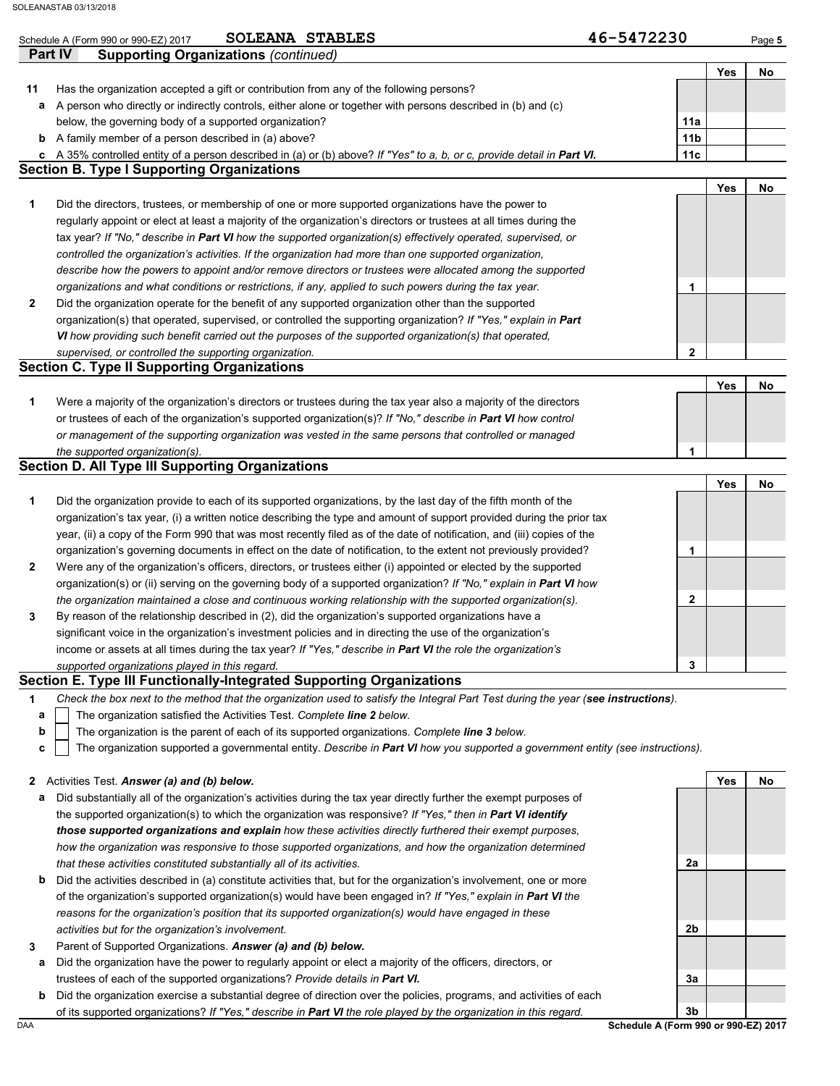|              | SOLEANA STABLES<br>Schedule A (Form 990 or 990-EZ) 2017                                                                                                                      | 46-5472230      |     | Page 5 |
|--------------|------------------------------------------------------------------------------------------------------------------------------------------------------------------------------|-----------------|-----|--------|
| Part IV      | <b>Supporting Organizations (continued)</b>                                                                                                                                  |                 |     |        |
|              |                                                                                                                                                                              |                 | Yes | No     |
| 11           | Has the organization accepted a gift or contribution from any of the following persons?                                                                                      |                 |     |        |
| а            | A person who directly or indirectly controls, either alone or together with persons described in (b) and (c)                                                                 |                 |     |        |
|              | below, the governing body of a supported organization?                                                                                                                       | 11a             |     |        |
|              | <b>b</b> A family member of a person described in (a) above?                                                                                                                 | 11 <sub>b</sub> |     |        |
|              | c A 35% controlled entity of a person described in (a) or (b) above? If "Yes" to a, b, or c, provide detail in Part VI.<br><b>Section B. Type I Supporting Organizations</b> | 11c             |     |        |
|              |                                                                                                                                                                              |                 | Yes | No     |
| 1            | Did the directors, trustees, or membership of one or more supported organizations have the power to                                                                          |                 |     |        |
|              | regularly appoint or elect at least a majority of the organization's directors or trustees at all times during the                                                           |                 |     |        |
|              | tax year? If "No," describe in Part VI how the supported organization(s) effectively operated, supervised, or                                                                |                 |     |        |
|              | controlled the organization's activities. If the organization had more than one supported organization,                                                                      |                 |     |        |
|              | describe how the powers to appoint and/or remove directors or trustees were allocated among the supported                                                                    |                 |     |        |
|              | organizations and what conditions or restrictions, if any, applied to such powers during the tax year.                                                                       | 1               |     |        |
| $\mathbf{2}$ | Did the organization operate for the benefit of any supported organization other than the supported                                                                          |                 |     |        |
|              | organization(s) that operated, supervised, or controlled the supporting organization? If "Yes," explain in Part                                                              |                 |     |        |
|              | VI how providing such benefit carried out the purposes of the supported organization(s) that operated,                                                                       |                 |     |        |
|              | supervised, or controlled the supporting organization.                                                                                                                       | $\mathbf{2}$    |     |        |
|              | <b>Section C. Type II Supporting Organizations</b>                                                                                                                           |                 |     |        |
|              |                                                                                                                                                                              |                 | Yes | No     |
| 1            | Were a majority of the organization's directors or trustees during the tax year also a majority of the directors                                                             |                 |     |        |
|              | or trustees of each of the organization's supported organization(s)? If "No," describe in Part VI how control                                                                |                 |     |        |
|              | or management of the supporting organization was vested in the same persons that controlled or managed                                                                       |                 |     |        |
|              | the supported organization(s).<br><b>Section D. All Type III Supporting Organizations</b>                                                                                    | 1               |     |        |
|              |                                                                                                                                                                              |                 | Yes | No     |
| 1            | Did the organization provide to each of its supported organizations, by the last day of the fifth month of the                                                               |                 |     |        |
|              | organization's tax year, (i) a written notice describing the type and amount of support provided during the prior tax                                                        |                 |     |        |
|              | year, (ii) a copy of the Form 990 that was most recently filed as of the date of notification, and (iii) copies of the                                                       |                 |     |        |
|              | organization's governing documents in effect on the date of notification, to the extent not previously provided?                                                             | 1               |     |        |
| $\mathbf{2}$ | Were any of the organization's officers, directors, or trustees either (i) appointed or elected by the supported                                                             |                 |     |        |
|              | organization(s) or (ii) serving on the governing body of a supported organization? If "No," explain in Part VI how                                                           |                 |     |        |
|              | the organization maintained a close and continuous working relationship with the supported organization(s).                                                                  | 2               |     |        |
| 3            | By reason of the relationship described in (2), did the organization's supported organizations have a                                                                        |                 |     |        |
|              | significant voice in the organization's investment policies and in directing the use of the organization's                                                                   |                 |     |        |
|              | income or assets at all times during the tax year? If "Yes," describe in Part VI the role the organization's                                                                 |                 |     |        |
|              | supported organizations played in this regard.                                                                                                                               | 3               |     |        |
|              | Section E. Type III Functionally-Integrated Supporting Organizations                                                                                                         |                 |     |        |
| 1            | Check the box next to the method that the organization used to satisfy the Integral Part Test during the year (see instructions).                                            |                 |     |        |
| а            | The organization satisfied the Activities Test. Complete line 2 below.                                                                                                       |                 |     |        |
| b            | The organization is the parent of each of its supported organizations. Complete line 3 below.                                                                                |                 |     |        |
| с            | The organization supported a governmental entity. Describe in Part VI how you supported a government entity (see instructions).                                              |                 |     |        |
|              |                                                                                                                                                                              |                 |     |        |
| $\mathbf{2}$ | Activities Test. Answer (a) and (b) below.                                                                                                                                   |                 | Yes | No     |
| а            | Did substantially all of the organization's activities during the tax year directly further the exempt purposes of                                                           |                 |     |        |
|              | the supported organization(s) to which the organization was responsive? If "Yes," then in Part VI identify                                                                   |                 |     |        |
|              | those supported organizations and explain how these activities directly furthered their exempt purposes,                                                                     |                 |     |        |

- **b** Did the activities described in (a) constitute activities that, but for the organization's involvement, one or more *that these activities constituted substantially all of its activities.*
- of the organization's supported organization(s) would have been engaged in? *If "Yes," explain in Part VI the reasons for the organization's position that its supported organization(s) would have engaged in these activities but for the organization's involvement.*
- **3** Parent of Supported Organizations. *Answer (a) and (b) below.*
- **a** Did the organization have the power to regularly appoint or elect a majority of the officers, directors, or trustees of each of the supported organizations? *Provide details in Part VI.*
- **b** Did the organization exercise a substantial degree of direction over the policies, programs, and activities of each of its supported organizations? *If "Yes," describe in Part VI the role played by the organization in this regard.*

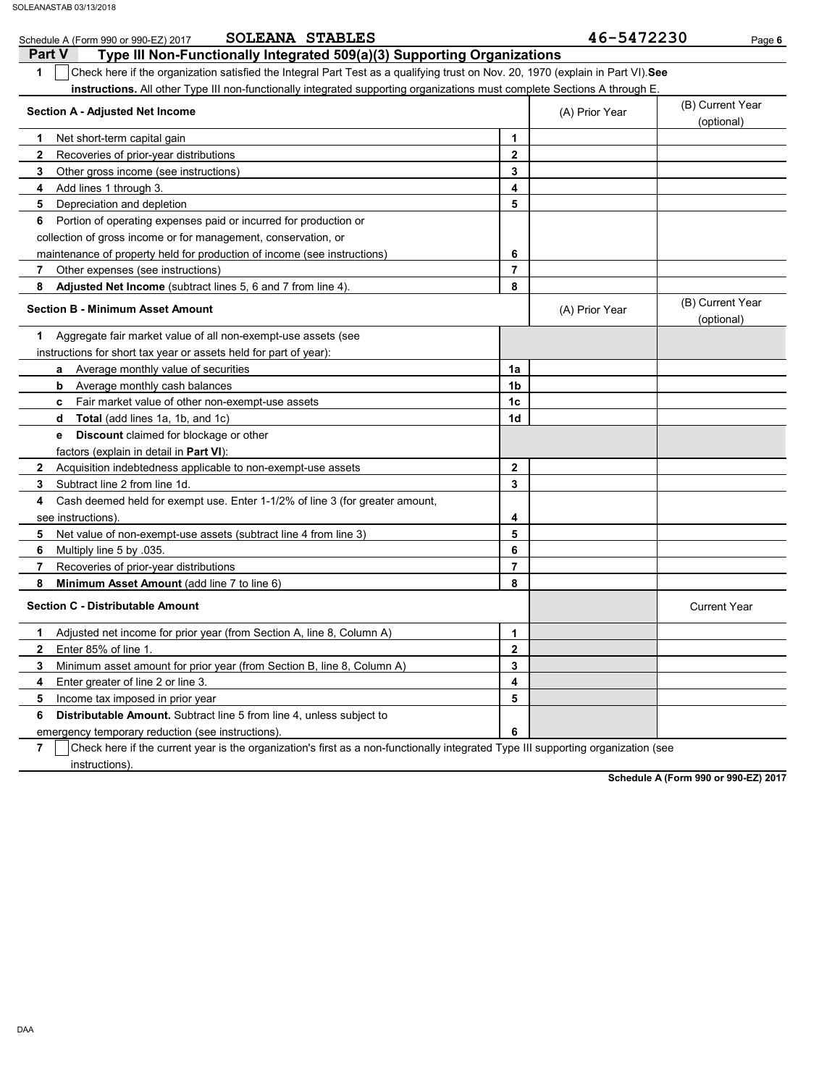| SOLEANA STABLES<br>Schedule A (Form 990 or 990-EZ) 2017                                                                                |    | 46-5472230     | Page 6                         |
|----------------------------------------------------------------------------------------------------------------------------------------|----|----------------|--------------------------------|
| <b>Part V</b><br>Type III Non-Functionally Integrated 509(a)(3) Supporting Organizations                                               |    |                |                                |
| Check here if the organization satisfied the Integral Part Test as a qualifying trust on Nov. 20, 1970 (explain in Part VI). See<br>1  |    |                |                                |
| instructions. All other Type III non-functionally integrated supporting organizations must complete Sections A through E.              |    |                |                                |
| <b>Section A - Adjusted Net Income</b>                                                                                                 |    | (A) Prior Year | (B) Current Year<br>(optional) |
| Net short-term capital gain<br>1                                                                                                       | 1  |                |                                |
| Recoveries of prior-year distributions<br>2                                                                                            | 2  |                |                                |
| Other gross income (see instructions)<br>3                                                                                             | 3  |                |                                |
| Add lines 1 through 3.<br>4                                                                                                            | 4  |                |                                |
| Depreciation and depletion<br>5                                                                                                        | 5  |                |                                |
| Portion of operating expenses paid or incurred for production or<br>6                                                                  |    |                |                                |
| collection of gross income or for management, conservation, or                                                                         |    |                |                                |
| maintenance of property held for production of income (see instructions)                                                               | 6  |                |                                |
| 7<br>Other expenses (see instructions)                                                                                                 | 7  |                |                                |
| 8<br>Adjusted Net Income (subtract lines 5, 6 and 7 from line 4).                                                                      | 8  |                |                                |
| <b>Section B - Minimum Asset Amount</b>                                                                                                |    | (A) Prior Year | (B) Current Year<br>(optional) |
| Aggregate fair market value of all non-exempt-use assets (see<br>1                                                                     |    |                |                                |
| instructions for short tax year or assets held for part of year):                                                                      |    |                |                                |
| Average monthly value of securities<br>a                                                                                               | 1a |                |                                |
| Average monthly cash balances<br>b                                                                                                     | 1b |                |                                |
| Fair market value of other non-exempt-use assets<br>c                                                                                  | 1c |                |                                |
| Total (add lines 1a, 1b, and 1c)<br>d                                                                                                  | 1d |                |                                |
| Discount claimed for blockage or other<br>е                                                                                            |    |                |                                |
| factors (explain in detail in <b>Part VI</b> ):                                                                                        |    |                |                                |
| $\mathbf{2}$<br>Acquisition indebtedness applicable to non-exempt-use assets                                                           | 2  |                |                                |
| Subtract line 2 from line 1d.<br>3                                                                                                     | 3  |                |                                |
| Cash deemed held for exempt use. Enter 1-1/2% of line 3 (for greater amount,<br>4                                                      |    |                |                                |
| see instructions)                                                                                                                      | 4  |                |                                |
| 5<br>Net value of non-exempt-use assets (subtract line 4 from line 3)                                                                  | 5  |                |                                |
| Multiply line 5 by .035.<br>6                                                                                                          | 6  |                |                                |
| 7<br>Recoveries of prior-year distributions                                                                                            | 7  |                |                                |
| Minimum Asset Amount (add line 7 to line 6)<br>8                                                                                       | 8  |                |                                |
| <b>Section C - Distributable Amount</b>                                                                                                |    |                | <b>Current Year</b>            |
| Adjusted net income for prior year (from Section A, line 8, Column A)<br>1.                                                            | 1  |                |                                |
| Enter 85% of line 1.<br>2                                                                                                              | 2  |                |                                |
| Minimum asset amount for prior year (from Section B, line 8, Column A)<br>3                                                            | 3  |                |                                |
| 4<br>Enter greater of line 2 or line 3.                                                                                                | 4  |                |                                |
| 5<br>Income tax imposed in prior year                                                                                                  | 5  |                |                                |
| 6<br>Distributable Amount. Subtract line 5 from line 4, unless subject to                                                              |    |                |                                |
| emergency temporary reduction (see instructions)                                                                                       | 6  |                |                                |
| 7<br>Check here if the current year is the organization's first as a non-functionally integrated Type III supporting organization (see |    |                |                                |
| instructions).                                                                                                                         |    |                |                                |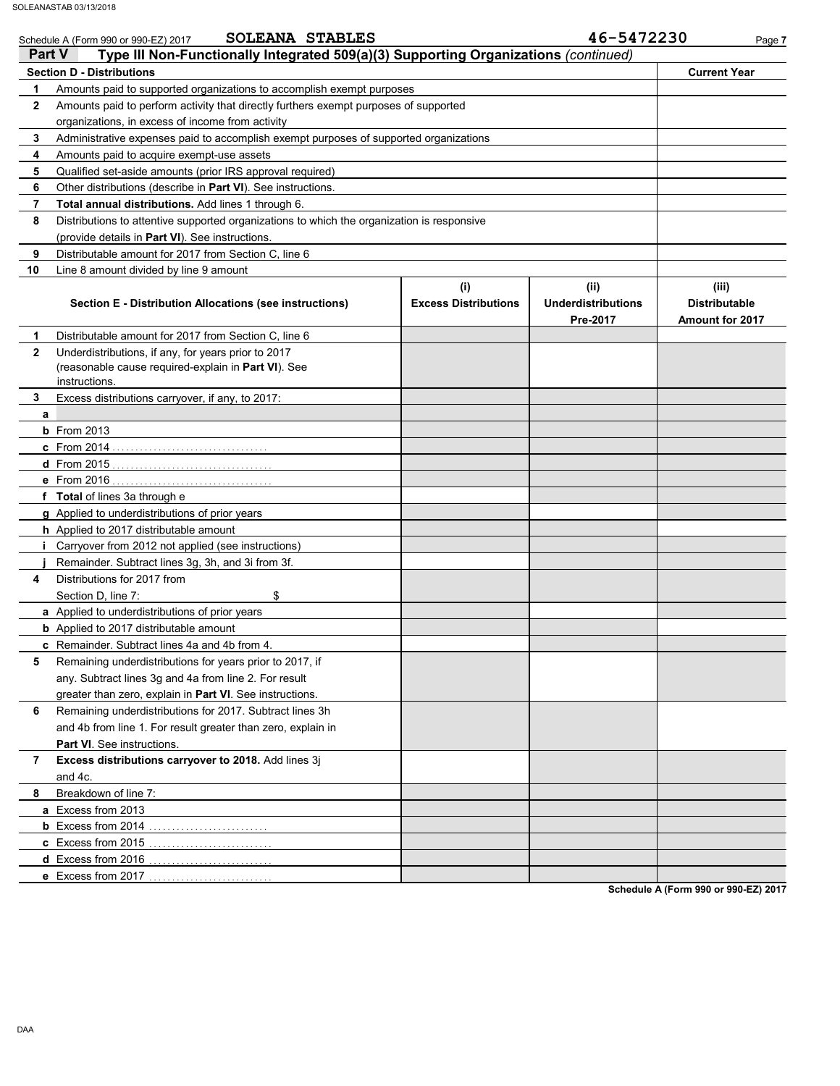| <b>Part V</b> | <b>SOLEANA STABLES</b><br>Schedule A (Form 990 or 990-EZ) 2017<br>Type III Non-Functionally Integrated 509(a)(3) Supporting Organizations (continued) |                                    | 46-5472230                                    | Page 7                                           |
|---------------|-------------------------------------------------------------------------------------------------------------------------------------------------------|------------------------------------|-----------------------------------------------|--------------------------------------------------|
|               | <b>Section D - Distributions</b>                                                                                                                      |                                    |                                               | <b>Current Year</b>                              |
| 1             | Amounts paid to supported organizations to accomplish exempt purposes                                                                                 |                                    |                                               |                                                  |
| $\mathbf{2}$  | Amounts paid to perform activity that directly furthers exempt purposes of supported                                                                  |                                    |                                               |                                                  |
|               | organizations, in excess of income from activity                                                                                                      |                                    |                                               |                                                  |
| 3             | Administrative expenses paid to accomplish exempt purposes of supported organizations                                                                 |                                    |                                               |                                                  |
| 4             | Amounts paid to acquire exempt-use assets                                                                                                             |                                    |                                               |                                                  |
| 5             | Qualified set-aside amounts (prior IRS approval required)                                                                                             |                                    |                                               |                                                  |
| 6             | Other distributions (describe in Part VI). See instructions.                                                                                          |                                    |                                               |                                                  |
| 7             | Total annual distributions. Add lines 1 through 6.                                                                                                    |                                    |                                               |                                                  |
| 8             | Distributions to attentive supported organizations to which the organization is responsive                                                            |                                    |                                               |                                                  |
|               | (provide details in Part VI). See instructions.                                                                                                       |                                    |                                               |                                                  |
| 9             | Distributable amount for 2017 from Section C, line 6                                                                                                  |                                    |                                               |                                                  |
| 10            | Line 8 amount divided by line 9 amount                                                                                                                |                                    |                                               |                                                  |
|               | Section E - Distribution Allocations (see instructions)                                                                                               | (i)<br><b>Excess Distributions</b> | (ii)<br><b>Underdistributions</b><br>Pre-2017 | (iii)<br><b>Distributable</b><br>Amount for 2017 |
| 1             | Distributable amount for 2017 from Section C, line 6                                                                                                  |                                    |                                               |                                                  |
| $\mathbf{2}$  | Underdistributions, if any, for years prior to 2017                                                                                                   |                                    |                                               |                                                  |
|               | (reasonable cause required-explain in Part VI). See                                                                                                   |                                    |                                               |                                                  |
|               | instructions.                                                                                                                                         |                                    |                                               |                                                  |
| 3             | Excess distributions carryover, if any, to 2017:                                                                                                      |                                    |                                               |                                                  |
| a             |                                                                                                                                                       |                                    |                                               |                                                  |
|               | <b>b</b> From 2013                                                                                                                                    |                                    |                                               |                                                  |
|               |                                                                                                                                                       |                                    |                                               |                                                  |
|               |                                                                                                                                                       |                                    |                                               |                                                  |
|               |                                                                                                                                                       |                                    |                                               |                                                  |
|               | f Total of lines 3a through e                                                                                                                         |                                    |                                               |                                                  |
|               | g Applied to underdistributions of prior years                                                                                                        |                                    |                                               |                                                  |
|               | h Applied to 2017 distributable amount                                                                                                                |                                    |                                               |                                                  |
|               | Carryover from 2012 not applied (see instructions)                                                                                                    |                                    |                                               |                                                  |
|               | Remainder. Subtract lines 3g, 3h, and 3i from 3f.                                                                                                     |                                    |                                               |                                                  |
| 4             | Distributions for 2017 from                                                                                                                           |                                    |                                               |                                                  |
|               | Section D, line 7:<br>\$                                                                                                                              |                                    |                                               |                                                  |
|               | a Applied to underdistributions of prior years                                                                                                        |                                    |                                               |                                                  |
|               | <b>b</b> Applied to 2017 distributable amount                                                                                                         |                                    |                                               |                                                  |
|               | c Remainder. Subtract lines 4a and 4b from 4.                                                                                                         |                                    |                                               |                                                  |
| 5             | Remaining underdistributions for years prior to 2017, if                                                                                              |                                    |                                               |                                                  |
|               | any. Subtract lines 3g and 4a from line 2. For result                                                                                                 |                                    |                                               |                                                  |
|               | greater than zero, explain in Part VI. See instructions.                                                                                              |                                    |                                               |                                                  |
| 6             | Remaining underdistributions for 2017. Subtract lines 3h                                                                                              |                                    |                                               |                                                  |
|               | and 4b from line 1. For result greater than zero, explain in                                                                                          |                                    |                                               |                                                  |
|               | Part VI. See instructions.                                                                                                                            |                                    |                                               |                                                  |
| 7             | Excess distributions carryover to 2018. Add lines 3j                                                                                                  |                                    |                                               |                                                  |
|               | and 4c.                                                                                                                                               |                                    |                                               |                                                  |
| 8             | Breakdown of line 7:                                                                                                                                  |                                    |                                               |                                                  |
|               | a Excess from 2013                                                                                                                                    |                                    |                                               |                                                  |
|               |                                                                                                                                                       |                                    |                                               |                                                  |
|               | <b>c</b> Excess from 2015                                                                                                                             |                                    |                                               |                                                  |
|               | d Excess from 2016.                                                                                                                                   |                                    |                                               |                                                  |
|               | e Excess from 2017                                                                                                                                    |                                    |                                               |                                                  |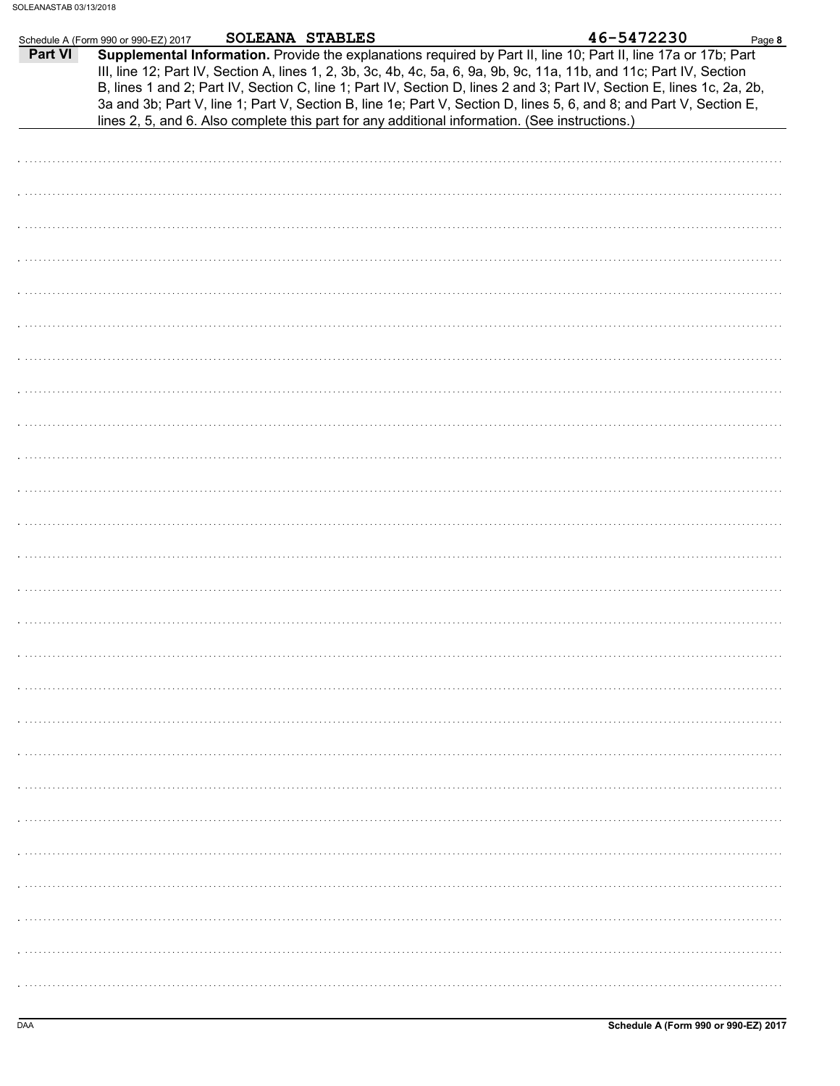| Part VI<br>Supplemental Information. Provide the explanations required by Part II, line 10; Part II, line 17a or 17b; Part<br>III, line 12; Part IV, Section A, lines 1, 2, 3b, 3c, 4b, 4c, 5a, 6, 9a, 9b, 9c, 11a, 11b, and 11c; Part IV, Section<br>B, lines 1 and 2; Part IV, Section C, line 1; Part IV, Section D, lines 2 and 3; Part IV, Section E, lines 1c, 2a, 2b,<br>3a and 3b; Part V, line 1; Part V, Section B, line 1e; Part V, Section D, lines 5, 6, and 8; and Part V, Section E,<br>lines 2, 5, and 6. Also complete this part for any additional information. (See instructions.) | Schedule A (Form 990 or 990-EZ) 2017 | <b>SOLEANA STABLES</b> |  | 46-5472230 | Page 8 |
|-------------------------------------------------------------------------------------------------------------------------------------------------------------------------------------------------------------------------------------------------------------------------------------------------------------------------------------------------------------------------------------------------------------------------------------------------------------------------------------------------------------------------------------------------------------------------------------------------------|--------------------------------------|------------------------|--|------------|--------|
|                                                                                                                                                                                                                                                                                                                                                                                                                                                                                                                                                                                                       |                                      |                        |  |            |        |
|                                                                                                                                                                                                                                                                                                                                                                                                                                                                                                                                                                                                       |                                      |                        |  |            |        |
|                                                                                                                                                                                                                                                                                                                                                                                                                                                                                                                                                                                                       |                                      |                        |  |            |        |
|                                                                                                                                                                                                                                                                                                                                                                                                                                                                                                                                                                                                       |                                      |                        |  |            |        |
|                                                                                                                                                                                                                                                                                                                                                                                                                                                                                                                                                                                                       |                                      |                        |  |            |        |
|                                                                                                                                                                                                                                                                                                                                                                                                                                                                                                                                                                                                       |                                      |                        |  |            |        |
|                                                                                                                                                                                                                                                                                                                                                                                                                                                                                                                                                                                                       |                                      |                        |  |            |        |
|                                                                                                                                                                                                                                                                                                                                                                                                                                                                                                                                                                                                       |                                      |                        |  |            |        |
|                                                                                                                                                                                                                                                                                                                                                                                                                                                                                                                                                                                                       |                                      |                        |  |            |        |
|                                                                                                                                                                                                                                                                                                                                                                                                                                                                                                                                                                                                       |                                      |                        |  |            |        |
|                                                                                                                                                                                                                                                                                                                                                                                                                                                                                                                                                                                                       |                                      |                        |  |            |        |
|                                                                                                                                                                                                                                                                                                                                                                                                                                                                                                                                                                                                       |                                      |                        |  |            |        |
|                                                                                                                                                                                                                                                                                                                                                                                                                                                                                                                                                                                                       |                                      |                        |  |            |        |
|                                                                                                                                                                                                                                                                                                                                                                                                                                                                                                                                                                                                       |                                      |                        |  |            |        |
|                                                                                                                                                                                                                                                                                                                                                                                                                                                                                                                                                                                                       |                                      |                        |  |            |        |
|                                                                                                                                                                                                                                                                                                                                                                                                                                                                                                                                                                                                       |                                      |                        |  |            |        |
|                                                                                                                                                                                                                                                                                                                                                                                                                                                                                                                                                                                                       |                                      |                        |  |            |        |
|                                                                                                                                                                                                                                                                                                                                                                                                                                                                                                                                                                                                       |                                      |                        |  |            |        |
|                                                                                                                                                                                                                                                                                                                                                                                                                                                                                                                                                                                                       |                                      |                        |  |            |        |
|                                                                                                                                                                                                                                                                                                                                                                                                                                                                                                                                                                                                       |                                      |                        |  |            |        |
|                                                                                                                                                                                                                                                                                                                                                                                                                                                                                                                                                                                                       |                                      |                        |  |            |        |
|                                                                                                                                                                                                                                                                                                                                                                                                                                                                                                                                                                                                       |                                      |                        |  |            |        |
|                                                                                                                                                                                                                                                                                                                                                                                                                                                                                                                                                                                                       |                                      |                        |  |            |        |
|                                                                                                                                                                                                                                                                                                                                                                                                                                                                                                                                                                                                       |                                      |                        |  |            |        |
|                                                                                                                                                                                                                                                                                                                                                                                                                                                                                                                                                                                                       |                                      |                        |  |            |        |
|                                                                                                                                                                                                                                                                                                                                                                                                                                                                                                                                                                                                       |                                      |                        |  |            |        |
|                                                                                                                                                                                                                                                                                                                                                                                                                                                                                                                                                                                                       |                                      |                        |  |            |        |
|                                                                                                                                                                                                                                                                                                                                                                                                                                                                                                                                                                                                       |                                      |                        |  |            |        |
|                                                                                                                                                                                                                                                                                                                                                                                                                                                                                                                                                                                                       |                                      |                        |  |            |        |
|                                                                                                                                                                                                                                                                                                                                                                                                                                                                                                                                                                                                       |                                      |                        |  |            |        |
|                                                                                                                                                                                                                                                                                                                                                                                                                                                                                                                                                                                                       |                                      |                        |  |            |        |
|                                                                                                                                                                                                                                                                                                                                                                                                                                                                                                                                                                                                       |                                      |                        |  |            |        |
|                                                                                                                                                                                                                                                                                                                                                                                                                                                                                                                                                                                                       |                                      |                        |  |            |        |
|                                                                                                                                                                                                                                                                                                                                                                                                                                                                                                                                                                                                       |                                      |                        |  |            |        |
|                                                                                                                                                                                                                                                                                                                                                                                                                                                                                                                                                                                                       |                                      |                        |  |            |        |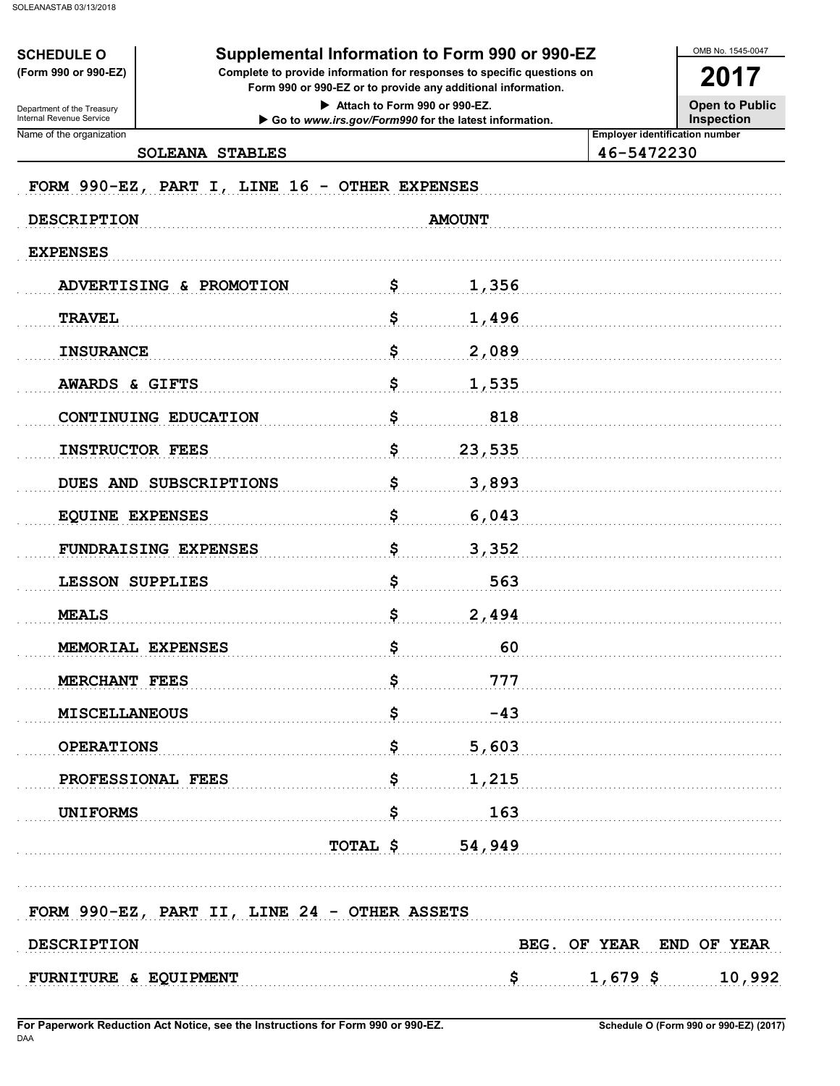**SCHEDULE O** (Form 990 or 990-EZ)

Department of the Treasury<br>Internal Revenue Service

## Supplemental Information to Form 990 or 990-EZ

Complete to provide information for responses to specific questions on Form 990 or 990-EZ or to provide any additional information.

> Attach to Form 990 or 990-EZ. Go to www.irs.gov/Form990 for the latest information.

**Open to Public Inspection** 

OMB No. 1545-0047

2017

Name of the organization

SOLEANA STABLES

46-5472230

**Employer identification number** 

| FORM 990-EZ, PART I, LINE 16 - OTHER EXPENSES |                                              |                          |  |
|-----------------------------------------------|----------------------------------------------|--------------------------|--|
| <b>DESCRIPTION</b>                            | <b>AMOUNT</b>                                |                          |  |
| <b>EXPENSES</b>                               |                                              |                          |  |
| ADVERTISING & PROMOTION                       | \$<br>1,356                                  |                          |  |
| <b>TRAVEL</b>                                 | \$<br>1,496                                  |                          |  |
| <b>INSURANCE</b>                              | \$<br>2,089                                  |                          |  |
| AWARDS & GIFTS                                | \$<br>1,535                                  |                          |  |
| CONTINUING EDUCATION                          | \$<br>818                                    |                          |  |
| <b>INSTRUCTOR FEES</b>                        | \$<br>23,535                                 |                          |  |
| DUES AND SUBSCRIPTIONS                        | \$<br>3,893                                  |                          |  |
| <b>EQUINE EXPENSES</b>                        | \$<br>6,043                                  |                          |  |
| FUNDRAISING EXPENSES                          | \$<br>3,352                                  |                          |  |
| LESSON SUPPLIES                               | \$<br>563                                    |                          |  |
| <b>MEALS</b>                                  | \$<br>2,494                                  |                          |  |
| MEMORIAL EXPENSES                             | \$<br>60                                     |                          |  |
| MERCHANT FEES                                 | \$<br>777                                    |                          |  |
| <b>MISCELLANEOUS</b>                          | \$<br>$-43$                                  |                          |  |
| <b>OPERATIONS</b>                             | \$<br>5,603                                  |                          |  |
| PROFESSIONAL FEES                             | \$<br>1,215                                  |                          |  |
| <b>UNIFORMS</b>                               | \$<br>163                                    |                          |  |
|                                               | <b>TOTAL <math>\frac{2}{3}</math></b> 54,949 |                          |  |
|                                               |                                              |                          |  |
| FORM 990-EZ, PART II, LINE 24 - OTHER ASSETS  |                                              |                          |  |
| <b>DESCRIPTION</b>                            |                                              | BEG. OF YEAR END OF YEAR |  |
| FURNITURE & EQUIPMENT                         | <u>\$</u>                                    | $1,679$ \$ 10,992        |  |
|                                               |                                              |                          |  |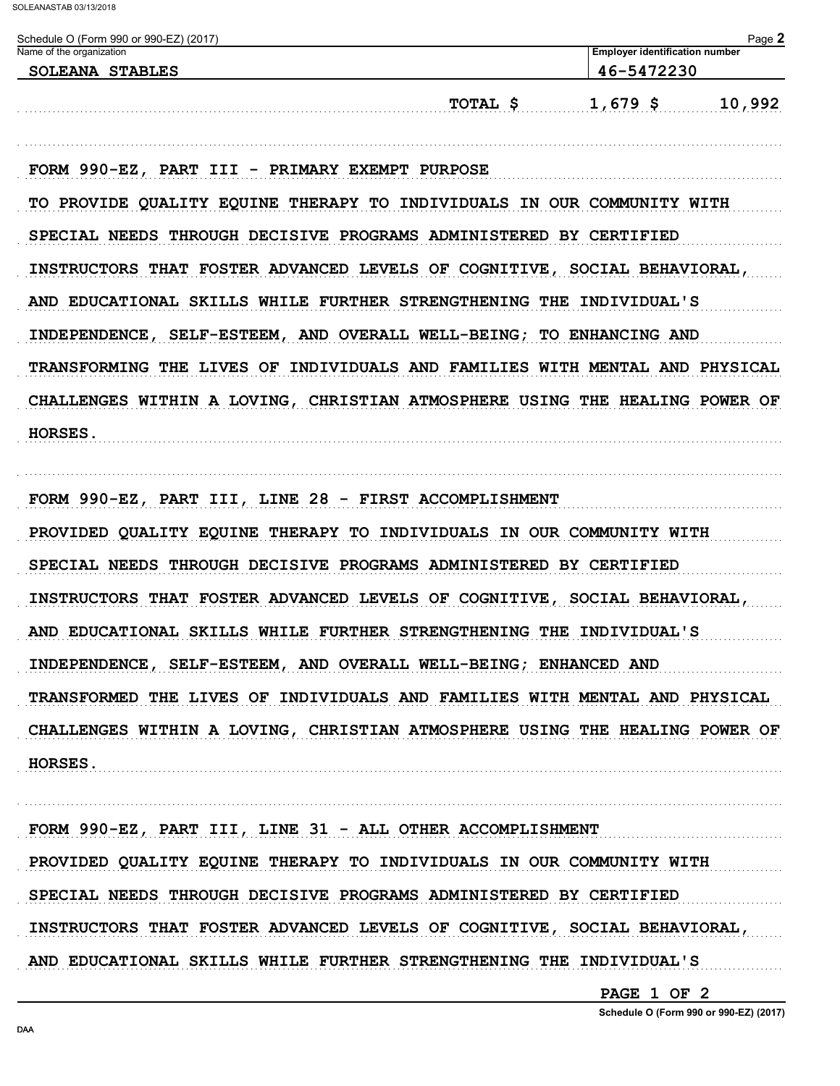| Name of the organization | Schedule O (Form 990 or 990-EZ) (2017)                               | Page 2<br><b>Employer identification number</b>                             |
|--------------------------|----------------------------------------------------------------------|-----------------------------------------------------------------------------|
|                          | <b>SOLEANA STABLES</b>                                               | 46-5472230                                                                  |
|                          |                                                                      | $1,679$ \$<br>TOTAL \$<br>10,992                                            |
|                          | FORM 990-EZ, PART III - PRIMARY EXEMPT PURPOSE                       |                                                                             |
|                          |                                                                      | TO PROVIDE QUALITY EQUINE THERAPY TO INDIVIDUALS IN OUR COMMUNITY WITH      |
|                          | SPECIAL NEEDS THROUGH DECISIVE PROGRAMS ADMINISTERED BY CERTIFIED    |                                                                             |
|                          |                                                                      | INSTRUCTORS THAT FOSTER ADVANCED LEVELS OF COGNITIVE, SOCIAL BEHAVIORAL,    |
|                          | AND EDUCATIONAL SKILLS WHILE FURTHER STRENGTHENING THE INDIVIDUAL'S  |                                                                             |
|                          | INDEPENDENCE, SELF-ESTEEM, AND OVERALL WELL-BEING; TO ENHANCING AND  |                                                                             |
|                          |                                                                      | TRANSFORMING THE LIVES OF INDIVIDUALS AND FAMILIES WITH MENTAL AND PHYSICAL |
|                          |                                                                      | CHALLENGES WITHIN A LOVING, CHRISTIAN ATMOSPHERE USING THE HEALING POWER OF |
| HORSES.                  |                                                                      |                                                                             |
|                          |                                                                      |                                                                             |
|                          | FORM 990-EZ, PART III, LINE 28 - FIRST ACCOMPLISHMENT                |                                                                             |
|                          | PROVIDED QUALITY EQUINE THERAPY TO INDIVIDUALS IN OUR COMMUNITY WITH |                                                                             |
|                          | SPECIAL NEEDS THROUGH DECISIVE PROGRAMS ADMINISTERED BY CERTIFIED    |                                                                             |
|                          |                                                                      | INSTRUCTORS THAT FOSTER ADVANCED LEVELS OF COGNITIVE, SOCIAL BEHAVIORAL,    |
|                          | AND EDUCATIONAL SKILLS WHILE FURTHER STRENGTHENING THE INDIVIDUAL'S  |                                                                             |
|                          | INDEPENDENCE, SELF-ESTEEM, AND OVERALL WELL-BEING; ENHANCED AND      |                                                                             |
|                          |                                                                      | TRANSFORMED THE LIVES OF INDIVIDUALS AND FAMILIES WITH MENTAL AND PHYSICAL  |
|                          |                                                                      | CHALLENGES WITHIN A LOVING, CHRISTIAN ATMOSPHERE USING THE HEALING POWER OF |
| HORSES.                  |                                                                      |                                                                             |
|                          |                                                                      |                                                                             |
|                          | FORM 990-EZ, PART III, LINE 31 - ALL OTHER ACCOMPLISHMENT            |                                                                             |
|                          | PROVIDED QUALITY EQUINE THERAPY TO INDIVIDUALS IN OUR COMMUNITY WITH |                                                                             |
|                          | SPECIAL NEEDS THROUGH DECISIVE PROGRAMS ADMINISTERED BY CERTIFIED    |                                                                             |
|                          |                                                                      | INSTRUCTORS THAT FOSTER ADVANCED LEVELS OF COGNITIVE, SOCIAL BEHAVIORAL,    |
|                          | AND EDUCATIONAL SKILLS WHILE FURTHER STRENGTHENING THE INDIVIDUAL'S  |                                                                             |

PAGE 1 OF 2

Schedule O (Form 990 or 990-EZ) (2017)